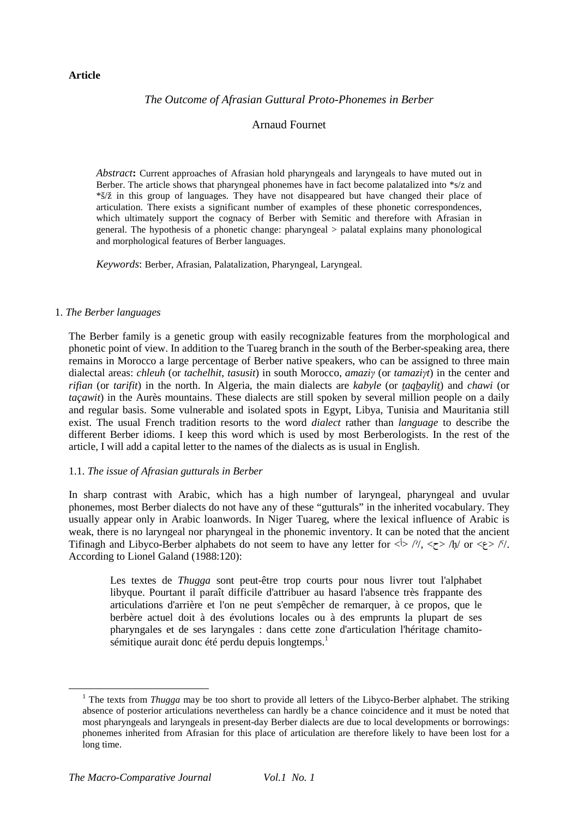# **Article**

# *The Outcome of Afrasian Guttural Proto-Phonemes in Berber*

# Arnaud Fournet

*Abstract***:** Current approaches of Afrasian hold pharyngeals and laryngeals to have muted out in Berber. The article shows that pharyngeal phonemes have in fact become palatalized into \*s/z and \*š/ž in this group of languages. They have not disappeared but have changed their place of articulation. There exists a significant number of examples of these phonetic correspondences, which ultimately support the cognacy of Berber with Semitic and therefore with Afrasian in general. The hypothesis of a phonetic change: pharyngeal > palatal explains many phonological and morphological features of Berber languages.

*Keywords*: Berber, Afrasian, Palatalization, Pharyngeal, Laryngeal.

#### 1. *The Berber languages*

 $\overline{a}$ 

The Berber family is a genetic group with easily recognizable features from the morphological and phonetic point of view. In addition to the Tuareg branch in the south of the Berber-speaking area, there remains in Morocco a large percentage of Berber native speakers, who can be assigned to three main dialectal areas: *chleuh* (or *tachelhit*, *tasusit*) in south Morocco, *amaziγ* (or *tamaziγt*) in the center and *rifian* (or *tarifit*) in the north. In Algeria, the main dialects are *kabyle* (or *taqbaylit*) and *chawi* (or *taçawit*) in the Aurès mountains. These dialects are still spoken by several million people on a daily and regular basis. Some vulnerable and isolated spots in Egypt, Libya, Tunisia and Mauritania still exist. The usual French tradition resorts to the word *dialect* rather than *language* to describe the different Berber idioms. I keep this word which is used by most Berberologists. In the rest of the article, I will add a capital letter to the names of the dialects as is usual in English.

# 1.1. *The issue of Afrasian gutturals in Berber*

In sharp contrast with Arabic, which has a high number of laryngeal, pharyngeal and uvular phonemes, most Berber dialects do not have any of these "gutturals" in the inherited vocabulary. They usually appear only in Arabic loanwords. In Niger Tuareg, where the lexical influence of Arabic is weak, there is no laryngeal nor pharyngeal in the phonemic inventory. It can be noted that the ancient Tifinagh and Libyco-Berber alphabets do not seem to have any letter for  $\langle \cdot \rangle / \langle \langle \cdot \rangle / \langle \cdot \rangle$  or  $\langle \cdot \rangle / \langle \cdot \rangle$ . According to Lionel Galand (1988:120):

Les textes de *Thugga* sont peut-être trop courts pour nous livrer tout l'alphabet libyque. Pourtant il paraît difficile d'attribuer au hasard l'absence très frappante des articulations d'arrière et l'on ne peut s'empêcher de remarquer, à ce propos, que le berbère actuel doit à des évolutions locales ou à des emprunts la plupart de ses pharyngales et de ses laryngales : dans cette zone d'articulation l'héritage chamitosémitique aurait donc été perdu depuis longtemps.<sup>1</sup>

<sup>&</sup>lt;sup>1</sup> The texts from *Thugga* may be too short to provide all letters of the Libyco-Berber alphabet. The striking absence of posterior articulations nevertheless can hardly be a chance coincidence and it must be noted that most pharyngeals and laryngeals in present-day Berber dialects are due to local developments or borrowings: phonemes inherited from Afrasian for this place of articulation are therefore likely to have been lost for a long time.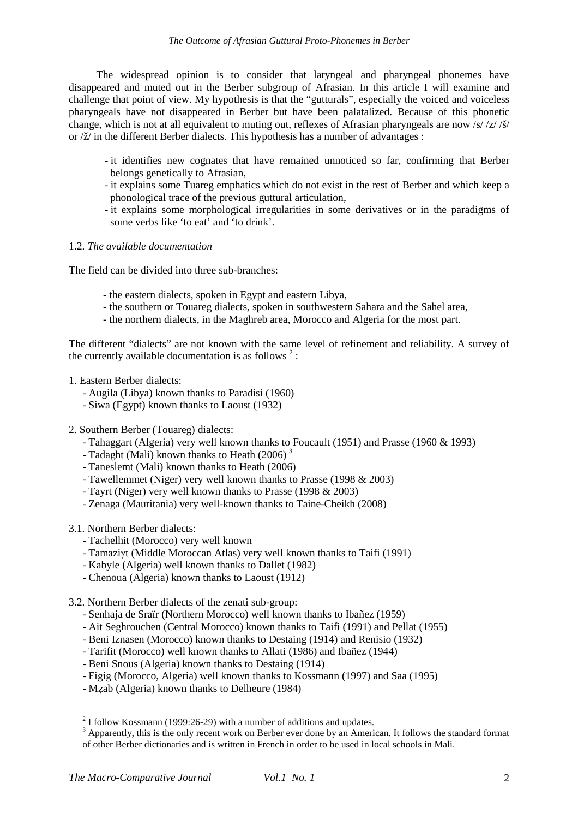The widespread opinion is to consider that laryngeal and pharyngeal phonemes have disappeared and muted out in the Berber subgroup of Afrasian. In this article I will examine and challenge that point of view. My hypothesis is that the "gutturals", especially the voiced and voiceless pharyngeals have not disappeared in Berber but have been palatalized. Because of this phonetic change, which is not at all equivalent to muting out, reflexes of Afrasian pharyngeals are now  $\frac{s}{\sqrt{2}}$ / $\frac{s}{\sqrt{2}}$ or /ž/ in the different Berber dialects. This hypothesis has a number of advantages :

- it identifies new cognates that have remained unnoticed so far, confirming that Berber belongs genetically to Afrasian,
- it explains some Tuareg emphatics which do not exist in the rest of Berber and which keep a phonological trace of the previous guttural articulation,
- it explains some morphological irregularities in some derivatives or in the paradigms of some verbs like 'to eat' and 'to drink'.

# 1.2. *The available documentation*

The field can be divided into three sub-branches:

- the eastern dialects, spoken in Egypt and eastern Libya,
- the southern or Touareg dialects, spoken in southwestern Sahara and the Sahel area,
- the northern dialects, in the Maghreb area, Morocco and Algeria for the most part.

The different "dialects" are not known with the same level of refinement and reliability. A survey of the currently available documentation is as follows<sup>2</sup>:

- 1. Eastern Berber dialects:
	- Augila (Libya) known thanks to Paradisi (1960)
	- Siwa (Egypt) known thanks to Laoust (1932)
- 2. Southern Berber (Touareg) dialects:
	- Tahaggart (Algeria) very well known thanks to Foucault (1951) and Prasse (1960 & 1993)
	- Tadaght (Mali) known thanks to Heath (2006) $3$
	- Taneslemt (Mali) known thanks to Heath (2006)
	- Tawellemmet (Niger) very well known thanks to Prasse (1998 & 2003)
	- Tayrt (Niger) very well known thanks to Prasse (1998 & 2003)
	- Zenaga (Mauritania) very well-known thanks to Taine-Cheikh (2008)
- 3.1. Northern Berber dialects:
	- Tachelhit (Morocco) very well known
	- Tamaziγt (Middle Moroccan Atlas) very well known thanks to Taifi (1991)
	- Kabyle (Algeria) well known thanks to Dallet (1982)
	- Chenoua (Algeria) known thanks to Laoust (1912)

3.2. Northern Berber dialects of the zenati sub-group:

- Senhaja de Sraïr (Northern Morocco) well known thanks to Ibañez (1959)
- Ait Seghrouchen (Central Morocco) known thanks to Taifi (1991) and Pellat (1955)
- Beni Iznasen (Morocco) known thanks to Destaing (1914) and Renisio (1932)
- Tarifit (Morocco) well known thanks to Allati (1986) and Ibañez (1944)
- Beni Snous (Algeria) known thanks to Destaing (1914)
- Figig (Morocco, Algeria) well known thanks to Kossmann (1997) and Saa (1995)
- Mẓab (Algeria) known thanks to Delheure (1984)

 $2$  I follow Kossmann (1999:26-29) with a number of additions and updates.

<sup>&</sup>lt;sup>3</sup> Apparently, this is the only recent work on Berber ever done by an American. It follows the standard format of other Berber dictionaries and is written in French in order to be used in local schools in Mali.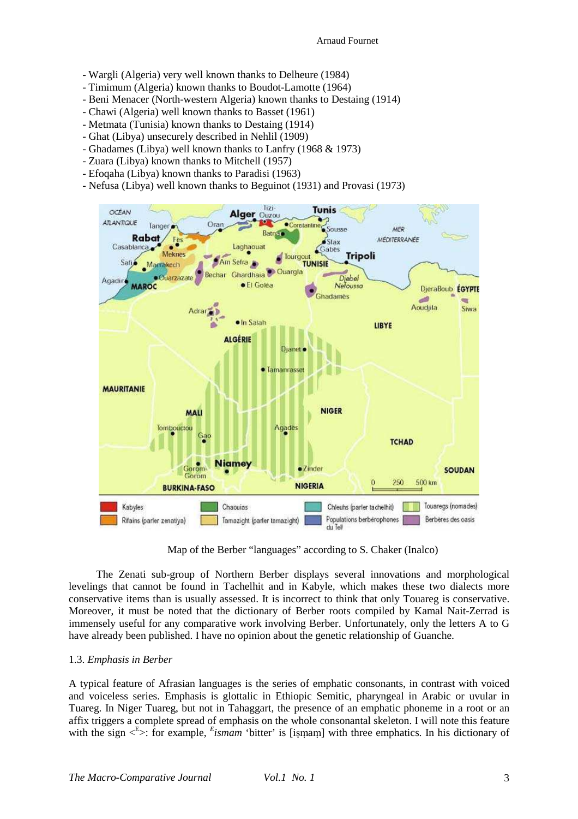- Wargli (Algeria) very well known thanks to Delheure (1984)
- Timimum (Algeria) known thanks to Boudot-Lamotte (1964)
- Beni Menacer (North-western Algeria) known thanks to Destaing (1914)
- Chawi (Algeria) well known thanks to Basset (1961)
- Metmata (Tunisia) known thanks to Destaing (1914)
- Ghat (Libya) unsecurely described in Nehlil (1909)
- Ghadames (Libya) well known thanks to Lanfry (1968 & 1973)
- Zuara (Libya) known thanks to Mitchell (1957)
- Efoqaha (Libya) known thanks to Paradisi (1963)
- Nefusa (Libya) well known thanks to Beguinot (1931) and Provasi (1973)



Map of the Berber "languages" according to S. Chaker (Inalco)

The Zenati sub-group of Northern Berber displays several innovations and morphological levelings that cannot be found in Tachelhit and in Kabyle, which makes these two dialects more conservative items than is usually assessed. It is incorrect to think that only Touareg is conservative. Moreover, it must be noted that the dictionary of Berber roots compiled by Kamal Nait-Zerrad is immensely useful for any comparative work involving Berber. Unfortunately, only the letters A to G have already been published. I have no opinion about the genetic relationship of Guanche.

#### 1.3. *Emphasis in Berber*

A typical feature of Afrasian languages is the series of emphatic consonants, in contrast with voiced and voiceless series. Emphasis is glottalic in Ethiopic Semitic, pharyngeal in Arabic or uvular in Tuareg. In Niger Tuareg, but not in Tahaggart, the presence of an emphatic phoneme in a root or an affix triggers a complete spread of emphasis on the whole consonantal skeleton. I will note this feature with the sign  $\leq$ <sup>E</sup>>: for example, *E*ismam 'bitter' is [iṣṃaṃ] with three emphatics. In his dictionary of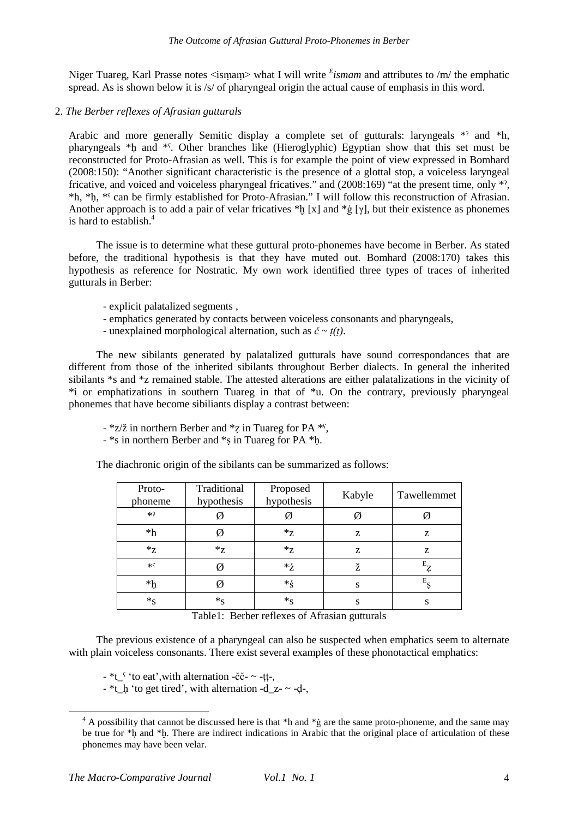Niger Tuareg, Karl Prasse notes <ismam> what I will write  $^{E}$ *ismam* and attributes to /m/ the emphatic spread. As is shown below it is /s/ of pharyngeal origin the actual cause of emphasis in this word.

# 2. *The Berber reflexes of Afrasian gutturals*

Arabic and more generally Semitic display a complete set of gutturals: laryngeals \*? and \*h, pharyngeals \*ḥ and \*ˁ. Other branches like (Hieroglyphic) Egyptian show that this set must be reconstructed for Proto-Afrasian as well. This is for example the point of view expressed in Bomhard (2008:150): "Another significant characteristic is the presence of a glottal stop, a voiceless laryngeal fricative, and voiced and voiceless pharyngeal fricatives." and (2008:169) "at the present time, only \*ˀ, \*h, \*ḥ, \*ˁ can be firmly established for Proto-Afrasian." I will follow this reconstruction of Afrasian. Another approach is to add a pair of velar fricatives \*h [x] and \*g [ $\gamma$ ], but their existence as phonemes is hard to establish.<sup>4</sup>

The issue is to determine what these guttural proto-phonemes have become in Berber. As stated before, the traditional hypothesis is that they have muted out. Bomhard (2008:170) takes this hypothesis as reference for Nostratic. My own work identified three types of traces of inherited gutturals in Berber:

- explicit palatalized segments ,
- emphatics generated by contacts between voiceless consonants and pharyngeals,
- unexplained morphological alternation, such as  $\check{c} \sim t(t)$ .

The new sibilants generated by palatalized gutturals have sound correspondances that are different from those of the inherited sibilants throughout Berber dialects. In general the inherited sibilants \*s and \*z remained stable. The attested alterations are either palatalizations in the vicinity of \*i or emphatizations in southern Tuareg in that of \*u. On the contrary, previously pharyngeal phonemes that have become sibiliants display a contrast between:

- $-$  \*z/ $\check{z}$  in northern Berber and \*z in Tuareg for PA \*<sup>s</sup>,
- \*s in northern Berber and \*ṣ in Tuareg for PA \*ḥ.

The diachronic origin of the sibilants can be summarized as follows:

| Proto-<br>phoneme   | Traditional<br>hypothesis | Proposed<br>hypothesis | Kabyle | Tawellemmet |
|---------------------|---------------------------|------------------------|--------|-------------|
| $*2$                |                           |                        |        |             |
| $*h$                |                           | ${}^*z$                | Z      | Z           |
| $Z^*$               | $Z^*$                     | $Z^*$                  | Z      | z           |
| $*\varsigma$        |                           | *ź                     | ž      | $E_{Z}$     |
| $\ast \mathfrak{h}$ |                           | *ś                     | S      | $E_{S}$     |
| $*_S$               | $*_S$                     | $*_S$                  | S      | S           |

Table1: Berber reflexes of Afrasian gutturals

The previous existence of a pharyngeal can also be suspected when emphatics seem to alternate with plain voiceless consonants. There exist several examples of these phonotactical emphatics:

 $-$ \*t<sup>s</sup> 'to eat', with alternation -čč- ~ -tt-,

 $-$  \*t\_h 'to get tired', with alternation -d\_z-  $\sim$  -d-,

<sup>&</sup>lt;sup>4</sup> A possibility that cannot be discussed here is that \*h and \*g are the same proto-phoneme, and the same may be true for \*h and \*h. There are indirect indications in Arabic that the original place of articulation of these phonemes may have been velar.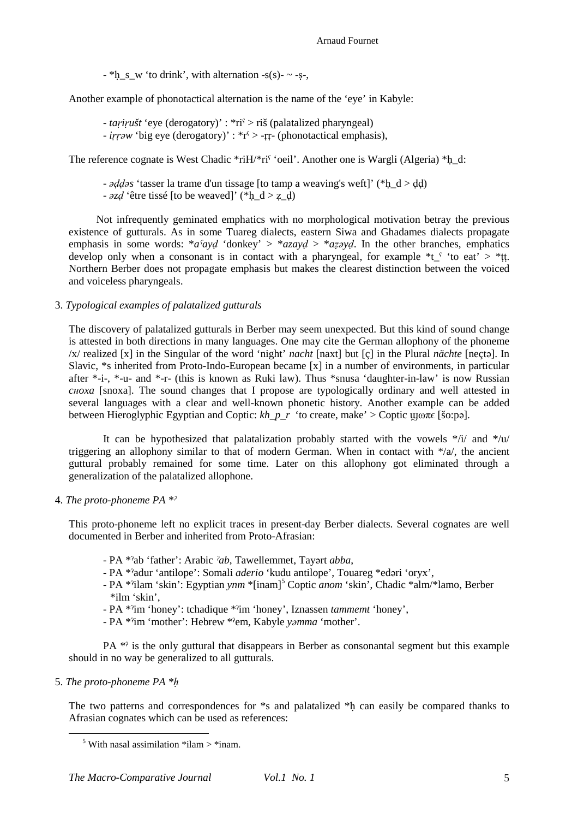Arnaud Fournet

 $-$  \*h\_s\_w 'to drink', with alternation  $-s(s)$ -  $\sim$  -s-,

Another example of phonotactical alternation is the name of the 'eye' in Kabyle:

- *taṛiṛušt* 'eye (derogatory)' : \*riˁ > riš (palatalized pharyngeal)
- *iṛṛəw* 'big eye (derogatory)' : \*rˁ > -ṛṛ- (phonotactical emphasis),

The reference cognate is West Chadic \*riH/\*ri^{\" \civari\" . Another one is Wargli (Algeria) \*h\_d:

- *əḍḍəs* 'tasser la trame d'un tissage [to tamp a weaving's weft]' (\*ḥ\_d > ḍḍ)

-  $\partial z d$  'être tissé [to be weaved]' (\*h\_d > z\_d)

Not infrequently geminated emphatics with no morphological motivation betray the previous existence of gutturals. As in some Tuareg dialects, eastern Siwa and Ghadames dialects propagate emphasis in some words: \**aˁayḍ* 'donkey' > \**azayḍ* > \**aẓəyḍ*. In the other branches, emphatics develop only when a consonant is in contact with a pharyngeal, for example  $*t \text{ }$  'to eat' > \*tt. Northern Berber does not propagate emphasis but makes the clearest distinction between the voiced and voiceless pharyngeals.

# 3. *Typological examples of palatalized gutturals*

The discovery of palatalized gutturals in Berber may seem unexpected. But this kind of sound change is attested in both directions in many languages. One may cite the German allophony of the phoneme /x/ realized [x] in the Singular of the word 'night' *nacht* [naxt] but [ç] in the Plural *nächte* [neçtə]. In Slavic, \*s inherited from Proto-Indo-European became [x] in a number of environments, in particular after \*-i-, \*-u- and \*-r- (this is known as Ruki law). Thus \*snusa 'daughter-in-law' is now Russian *cнoxa* [snoxa]. The sound changes that I propose are typologically ordinary and well attested in several languages with a clear and well-known phonetic history. Another example can be added between Hieroglyphic Egyptian and Coptic:  $kh_p_r$  'to create, make' > Coptic  $\mu_0 \pi \epsilon$  [šo:pə].

It can be hypothesized that palatalization probably started with the vowels  $*/i$  and  $*/u$ triggering an allophony similar to that of modern German. When in contact with \*/a/, the ancient guttural probably remained for some time. Later on this allophony got eliminated through a generalization of the palatalized allophone.

4. *The proto-phoneme PA \*ˀ*

This proto-phoneme left no explicit traces in present-day Berber dialects. Several cognates are well documented in Berber and inherited from Proto-Afrasian:

- PA \*ˀab 'father': Arabic *ˀab*, Tawellemmet, Tayərt *abba*,
- PA \*ˀadur 'antilope': Somali *aderio* 'kudu antilope', Touareg \*edəri 'oryx',
- PA \*'ilam 'skin': Egyptian *ynm* \*[inam]<sup>5</sup> Coptic *anom* 'skin', Chadic \*alm/\*lamo, Berber \*ilm 'skin',
- PA \*ˀim 'honey': tchadique \*ˀim 'honey', Iznassen *tammemt* 'honey',
- PA \*ˀim 'mother': Hebrew \*ˀem, Kabyle *yəmma* 'mother'.

PA \*ˀ is the only guttural that disappears in Berber as consonantal segment but this example should in no way be generalized to all gutturals.

5. *The proto-phoneme PA \*ḥ*

 $\overline{a}$ 

The two patterns and correspondences for \*s and palatalized \*h can easily be compared thanks to Afrasian cognates which can be used as references:

 $<sup>5</sup>$  With nasal assimilation \*ilam > \*inam.</sup>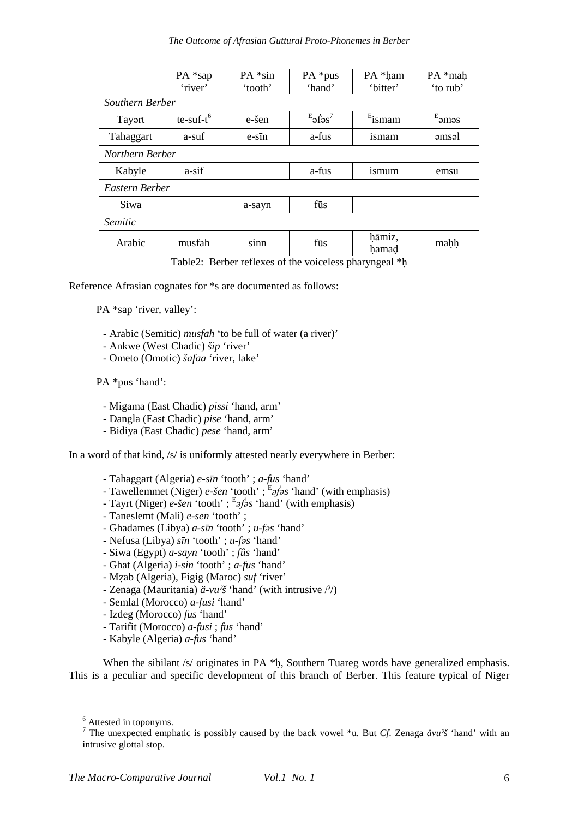|                                                            | PA *sap          | $PA * sin$ | $PA *pus$                             | PA *ham   | PA *mah         |  |
|------------------------------------------------------------|------------------|------------|---------------------------------------|-----------|-----------------|--|
|                                                            | 'river'          | 'tooth'    | 'hand'                                | 'bitter'  | 'to rub'        |  |
| Southern Berber                                            |                  |            |                                       |           |                 |  |
| Tayart                                                     | $te$ -suf- $t^6$ | e-šen      | $E_{\text{a}f\text{a}s}$ <sup>7</sup> | $E$ ismam | $E_{\rm 3m 3s}$ |  |
| Tahaggart                                                  | a-suf            | $e$ -sīn   | a-fus                                 | ismam     | əmsəl           |  |
| Northern Berber                                            |                  |            |                                       |           |                 |  |
| Kabyle                                                     | a-sif            |            | a-fus                                 | ismum     | emsu            |  |
| Eastern Berber                                             |                  |            |                                       |           |                 |  |
| Siwa                                                       |                  | a-sayn     | fūs                                   |           |                 |  |
| Semitic                                                    |                  |            |                                       |           |                 |  |
| Arabic                                                     | musfah           | sinn       | fūs                                   | hāmiz,    | mahh            |  |
|                                                            |                  |            |                                       | hamad     |                 |  |
| $Table 2.$ Derhau raflaves of the voiceless phenyngeel $*$ |                  |            |                                       |           |                 |  |

Table2: Berber reflexes of the voiceless pharyngeal \*ḥ

Reference Afrasian cognates for \*s are documented as follows:

PA \*sap 'river, valley':

- Arabic (Semitic) *musfah* 'to be full of water (a river)'
- Ankwe (West Chadic) *šip* 'river'
- Ometo (Omotic) *šafaa* 'river, lake'

PA \*pus 'hand':

- Migama (East Chadic) *pissi* 'hand, arm'
- Dangla (East Chadic) *pise* 'hand, arm'
- Bidiya (East Chadic) *pese* 'hand, arm'

In a word of that kind, /s/ is uniformly attested nearly everywhere in Berber:

- Tahaggart (Algeria) *e-sīn* 'tooth' ; *a-fus* 'hand'
- Tawellemmet (Niger) *e-šen* 'tooth' ; <sup>E</sup> *əḟəs* 'hand' (with emphasis)
- Tayrt (Niger) *e-šen* 'tooth' ; <sup>E</sup> *əḟəs* 'hand' (with emphasis)
- Taneslemt (Mali) *e-sen* 'tooth' ;
- Ghadames (Libya) *a-sīn* 'tooth' ; *u-fəs* 'hand'
- Nefusa (Libya) *sīn* 'tooth' ; *u-fəs* 'hand'
- Siwa (Egypt) *a-sayn* 'tooth' ; *fûs* 'hand'
- Ghat (Algeria) *i-sin* 'tooth' ; *a-fus* 'hand'
- Mẓab (Algeria), Figig (Maroc) *suf* 'river'
- Zenaga (Mauritania) *ä-vuˀš* 'hand' (with intrusive /ˀ/)
- Semlal (Morocco) *a-fusi* 'hand'
- Izdeg (Morocco) *fus* 'hand'
- Tarifit (Morocco) *a-fusi* ; *fus* 'hand'
- Kabyle (Algeria) *a-fus* 'hand'

When the sibilant /s/ originates in PA  $*$ h, Southern Tuareg words have generalized emphasis. This is a peculiar and specific development of this branch of Berber. This feature typical of Niger

<sup>&</sup>lt;sup>6</sup> Attested in toponyms.

<sup>7</sup> The unexpected emphatic is possibly caused by the back vowel \*u. But *Cf*. Zenaga *ävuˀš* 'hand' with an intrusive glottal stop.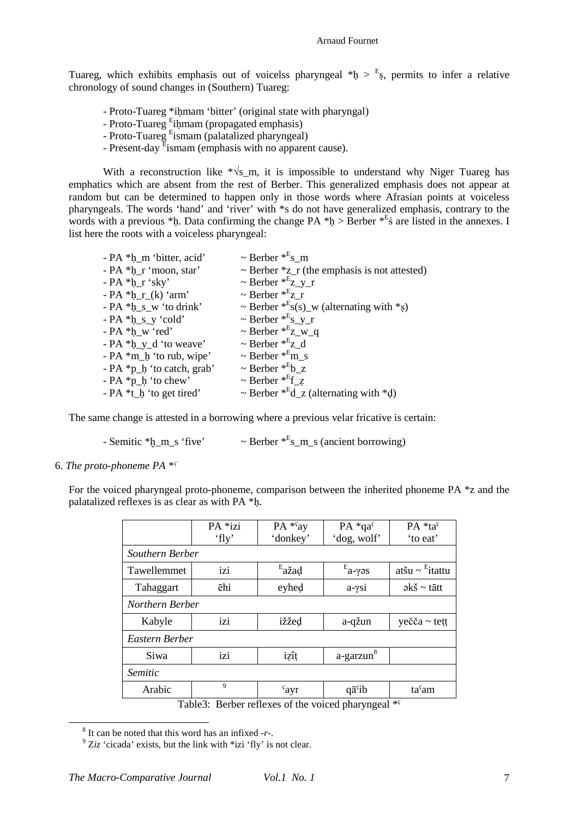Tuareg, which exhibits emphasis out of voicelss pharyngeal  $*h > E_s$ , permits to infer a relative chronology of sound changes in (Southern) Tuareg:

- Proto-Tuareg \*ihmam 'bitter' (original state with pharyngal)
- Proto-Tuareg <sup>E</sup>iḥmam (propagated emphasis)
- Proto-Tuareg <sup>E</sup>ismam (palatalized pharyngeal)
- Present-day <sup>E</sup>ismam (emphasis with no apparent cause).

With a reconstruction like  $\sqrt[k]{s}$ <sub>m</sub>, it is impossible to understand why Niger Tuareg has emphatics which are absent from the rest of Berber. This generalized emphasis does not appear at random but can be determined to happen only in those words where Afrasian points at voiceless pharyngeals. The words 'hand' and 'river' with \*s do not have generalized emphasis, contrary to the words with a previous \*h. Data confirming the change PA \*h > Berber  $*E_5$  are listed in the annexes. I list here the roots with a voiceless pharyngeal:

| $\sim$ Berber $*$ <sup>E</sup> s m                          |
|-------------------------------------------------------------|
| $\sim$ Berber $\overline{z}$ (the emphasis is not attested) |
| $\sim$ Berber $*$ <sup>E</sup> z_y_r                        |
| $\sim$ Berber $*$ <sup>E</sup> z r                          |
| ~ Berber * $s(s)$ w (alternating with *s)                   |
| $\sim$ Berber $*$ <sup>E</sup> s_y_r                        |
| $\sim$ Berber $*$ <sup>E</sup> z_w_q                        |
| $\sim$ Berber $*$ <sup>E</sup> z_d                          |
| $\sim$ Berber $*$ <sup>E</sup> m s                          |
| $\sim$ Berber $*$ <sup>E</sup> b z                          |
| $\sim$ Berber $*$ <sup>E</sup> f z                          |
| ~ Berber $*^E d_z$ (alternating with $*d$ )                 |
|                                                             |

The same change is attested in a borrowing where a previous velar fricative is certain:

- Semitic  $*_{\text{L}}\text{m}_s$  'five'  $\sim$  Berber  $*_{\text{S}_m}$  (ancient borrowing)

6. *The proto-phoneme PA \*ˁ*

For the voiced pharyngeal proto-phoneme, comparison between the inherited phoneme PA \*z and the palatalized reflexes is as clear as with PA \*ḥ.

|                 | PA *izi         | PA *say                               | $PA * qaç$            | PA *tas                                        |  |
|-----------------|-----------------|---------------------------------------|-----------------------|------------------------------------------------|--|
|                 | 'fly'           | 'donkey'                              | 'dog, wolf'           | 'to eat'                                       |  |
| Southern Berber |                 |                                       |                       |                                                |  |
| Tawellemmet     | izi             | $E$ <sub>a</sub> žad                  | $E_{a-\gamma}s$       | atšu ~ $E$ itattu                              |  |
| Tahaggart       | ēhi             | eyhed                                 | $a-\gamma si$         | $\partial k \check{s} \sim t \bar{\alpha} t t$ |  |
|                 | Northern Berber |                                       |                       |                                                |  |
| Kabyle          | izi             | ižžed                                 | a-qžun                | yečča $\sim$ tett                              |  |
| Eastern Berber  |                 |                                       |                       |                                                |  |
| Siwa            | izi             | izît                                  | a-garzun <sup>8</sup> |                                                |  |
| <i>Semitic</i>  |                 |                                       |                       |                                                |  |
| Arabic          | 9               | $\gamma$ ayr                          | $q\bar{a}$ ib         | ta <sup>s</sup> am                             |  |
|                 | m 11 n n 1      | $\mathcal{C}$ $\mathcal{A}$<br>$\sim$ | $\mathbf{1}$          | $1 - 36C$                                      |  |

Table3: Berber reflexes of the voiced pharyngeal  $*$ <sup>s</sup>

<sup>8</sup> It can be noted that this word has an infixed -*r*-.

 $9$ <sup>9</sup> Ziz 'cicada' exists, but the link with  $*$ izi 'fly' is not clear.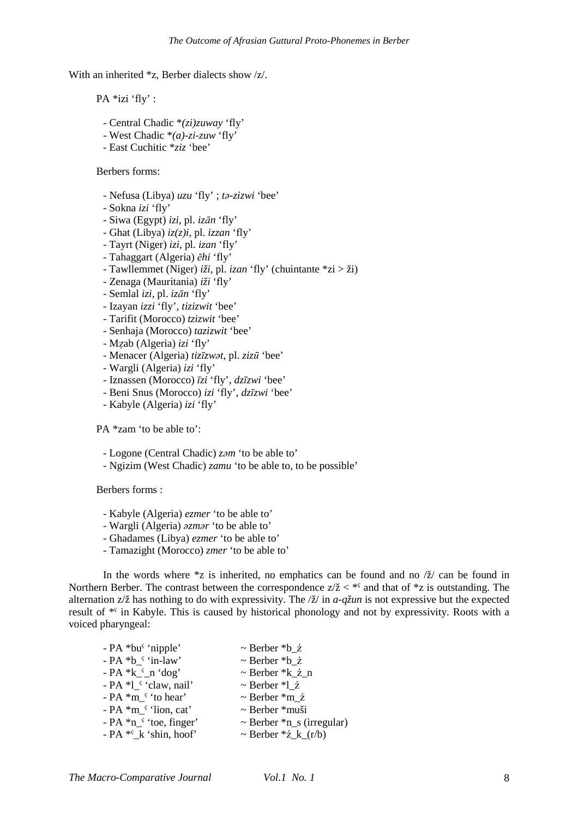With an inherited \*z, Berber dialects show /z/.

PA \*izi 'fly' :

- Central Chadic \**(zi)zuway* 'fly'
- West Chadic \**(a)-zi-zuw* 'fly'
- East Cuchitic \**ziz* 'bee'

Berbers forms:

- Nefusa (Libya) *uzu* 'fly' ; *tǝ-zizwi* 'bee'
- Sokna *izi* 'fly'
- Siwa (Egypt) *izi*, pl. *izān* 'fly'
- Ghat (Libya) *iz(z)i*, pl. *izzan* 'fly'
- Tayrt (Niger) *izi*, pl. *izan* 'fly'
- Tahaggart (Algeria) *ēhi* 'fly'
- Tawllemmet (Niger) *iži*, pl. *izan* 'fly' (chuintante \*zi > ži)
- Zenaga (Mauritania) *iži* 'fly'
- Semlal *izi*, pl. *izān* 'fly'
- Izayan *izzi* 'fly', *tizizwit* 'bee'
- Tarifit (Morocco) *tzizwit* 'bee'
- Senhaja (Morocco) *tazizwit* 'bee'
- Mẓab (Algeria) *izi* 'fly'
- Menacer (Algeria) *tizīzwǝt*, pl. *zizū* 'bee'
- Wargli (Algeria) *izi* 'fly'
- Iznassen (Morocco) *īzi* 'fly', *dzīzwi* 'bee'
- Beni Snus (Morocco) *izi* 'fly', *dzīzwi* 'bee'
- Kabyle (Algeria) *izi* 'fly'

PA \*zam 'to be able to':

- Logone (Central Chadic) *zəm* 'to be able to'

- Ngizim (West Chadic) *zamu* 'to be able to, to be possible'

Berbers forms :

- Kabyle (Algeria) *ezmer* 'to be able to'
- Wargli (Algeria) *əzmər* 'to be able to'
- Ghadames (Libya) *ezmer* 'to be able to'
- Tamazight (Morocco) *zmer* 'to be able to'

In the words where  $z$  is inherited, no emphatics can be found and no  $\frac{z}{z}$  can be found in Northern Berber. The contrast between the correspondence  $z/\check{z} <$ \*s and that of \*z is outstanding. The alternation z/ž has nothing to do with expressivity. The /ž/ in *a-qžun* is not expressive but the expected result of <sup>\*</sup>' in Kabyle. This is caused by historical phonology and not by expressivity. Roots with a voiced pharyngeal:

| $\sim$ Berber *b_ $\zeta$           |
|-------------------------------------|
| $\sim$ Berber *b $\zeta$            |
| $\sim$ Berber $k_2$ n               |
| $\sim$ Berber *l ź                  |
| $\sim$ Berber $*$ m ź               |
| $\sim$ Berber $*$ muši              |
| $\sim$ Berber $*_{n_s}$ (irregular) |
| ~ Berber $*z_k(r/b)$                |
|                                     |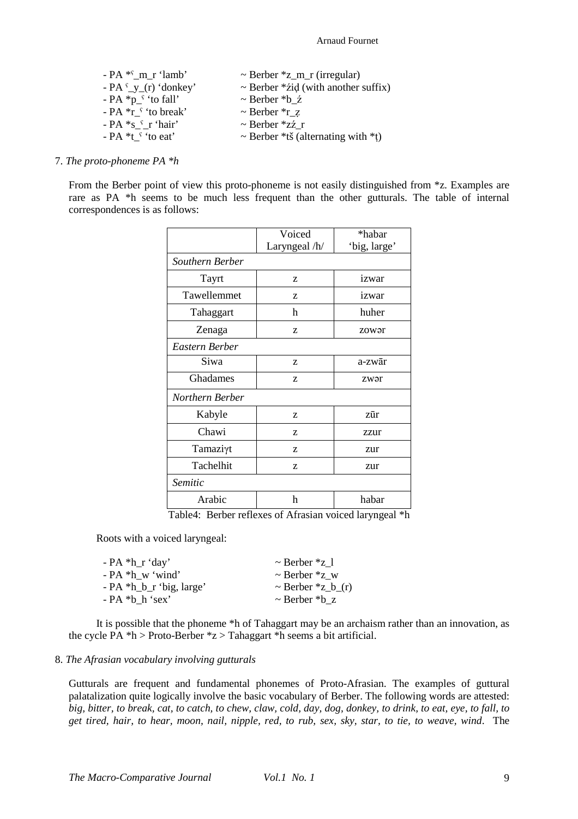#### Arnaud Fournet

| $- PA *f$ m r 'lamb'            | $\sim$ Berber *z_m_r (irregular)          |
|---------------------------------|-------------------------------------------|
| - PA $y(r)$ 'donkey'            | $\sim$ Berber * zid (with another suffix) |
| $- PA *p$ <sup>{</sup> to fall} | $\sim$ Berber *b $\zeta$                  |
| - PA $*$ r $\lq$ to break'      | $\sim$ Berber $\overline{r}$ z            |
| $- PA *s$ f r 'hair'            | $\sim$ Berber *zź r                       |
| $- PA *t$ s to eat              | ~ Berber *tš (alternating with *t)        |

#### 7. *The proto-phoneme PA \*h*

From the Berber point of view this proto-phoneme is not easily distinguished from  $z$ . Examples are rare as PA \*h seems to be much less frequent than the other gutturals. The table of internal correspondences is as follows:

|                 | Voiced        | *habar       |
|-----------------|---------------|--------------|
|                 | Laryngeal /h/ | 'big, large' |
| Southern Berber |               |              |
| Tayrt           | Z             | izwar        |
| Tawellemmet     | Z             | izwar        |
| Tahaggart       | h             | huher        |
| Zenaga          | Z             | zowər        |
| Eastern Berber  |               |              |
| Siwa            | Z             | a-zwār       |
| Ghadames        | Z             | zwər         |
| Northern Berber |               |              |
| Kabyle          | Z             | zūr          |
| Chawi           | Z             | zzur         |
| Tamaziγt        | Z             | zur          |
| Tachelhit       | Z             | zur          |
| Semitic         |               |              |
| Arabic          | h             | habar        |

Table4: Berber reflexes of Afrasian voiced laryngeal \*h

Roots with a voiced laryngeal:

| - PA *h_r 'day'          | $\sim$ Berber $\overline{z}$ 1     |
|--------------------------|------------------------------------|
| - PA *h w 'wind'         | $\sim$ Berber $\alpha$ w           |
| - PA *h_b_r 'big, large' | $\sim$ Berber $\overline{z}$ b (r) |
| - PA *b h 'sex'          | $\sim$ Berber *b z                 |
|                          |                                    |

It is possible that the phoneme \*h of Tahaggart may be an archaism rather than an innovation, as the cycle  $\overline{PA}$  \*h > Proto-Berber \*z > Tahaggart \*h seems a bit artificial.

#### 8. *The Afrasian vocabulary involving gutturals*

Gutturals are frequent and fundamental phonemes of Proto-Afrasian. The examples of guttural palatalization quite logically involve the basic vocabulary of Berber. The following words are attested: *big, bitter, to break, cat, to catch, to chew, claw, cold, day, dog, donkey, to drink, to eat, eye, to fall, to get tired, hair, to hear, moon, nail, nipple, red, to rub, sex, sky, star, to tie, to weave, wind*. The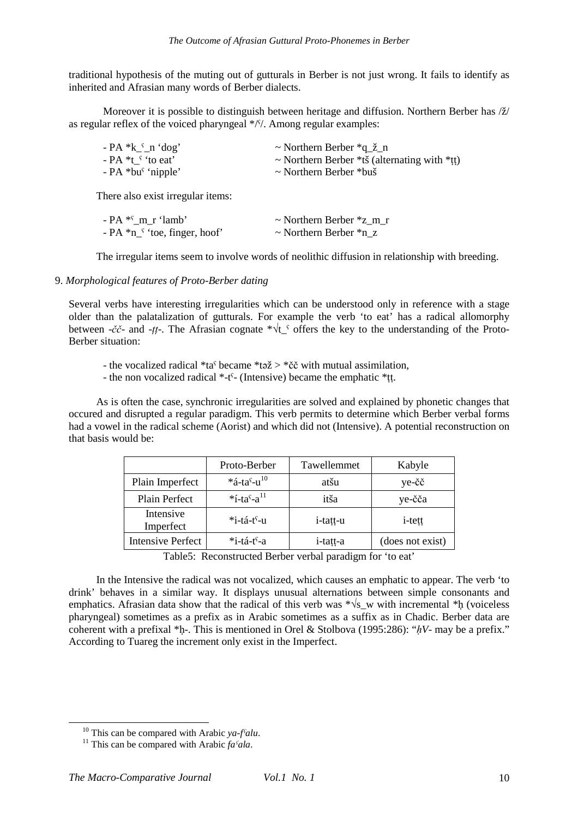traditional hypothesis of the muting out of gutturals in Berber is not just wrong. It fails to identify as inherited and Afrasian many words of Berber dialects.

Moreover it is possible to distinguish between heritage and diffusion. Northern Berber has /ž/ as regular reflex of the voiced pharyngeal  $*//$ . Among regular examples:

| $- PA *k$ _ n 'dog'           | $\sim$ Northern Berber $*q \nvert \nvert n$  |
|-------------------------------|----------------------------------------------|
| - PA *t <sup>s</sup> 'to eat' | ~ Northern Berber *tš (alternating with *tt) |
| $- PA * bu' 'nipple'$         | $\sim$ Northern Berber *buš                  |

There also exist irregular items:

| - PA <sup>*s</sup> m r 'lamb'  | $\sim$ Northern Berber $\overline{z}$ m r |
|--------------------------------|-------------------------------------------|
| $- PA *n1 'toe, finger, hoof'$ | $\sim$ Northern Berber $*$ n z            |

The irregular items seem to involve words of neolithic diffusion in relationship with breeding.

#### 9. *Morphological features of Proto-Berber dating*

Several verbs have interesting irregularities which can be understood only in reference with a stage older than the palatalization of gutturals. For example the verb 'to eat' has a radical allomorphy between -*čč*- and -*ṭṭ*-. The Afrasian cognate \*√t\_ˁ offers the key to the understanding of the Proto-Berber situation:

- the vocalized radical  $*ta^s$  became  $*ta^s > *c^s$  with mutual assimilation,

- the non vocalized radical \*-tˁ- (Intensive) became the emphatic \*ṭṭ.

As is often the case, synchronic irregularities are solved and explained by phonetic changes that occured and disrupted a regular paradigm. This verb permits to determine which Berber verbal forms had a vowel in the radical scheme (Aorist) and which did not (Intensive). A potential reconstruction on that basis would be:

|                          | Proto-Berber                           | Tawellemmet | Kabyle           |
|--------------------------|----------------------------------------|-------------|------------------|
| Plain Imperfect          | $*$ á-tas-u <sup>10</sup>              | atšu        | ye-čč            |
| Plain Perfect            | $*$ í-ta <sup>s</sup> -a <sup>11</sup> | itša        | ye-čča           |
| Intensive<br>Imperfect   | *i-tá-t <sup>s</sup> -u                | i-tatt-u    | <i>i</i> -tett   |
| <b>Intensive Perfect</b> | $*$ i-tá-t <sup>s</sup> -a             | i-tatt-a    | (does not exist) |

Table5: Reconstructed Berber verbal paradigm for 'to eat'

In the Intensive the radical was not vocalized, which causes an emphatic to appear. The verb 'to drink' behaves in a similar way. It displays unusual alternations between simple consonants and emphatics. Afrasian data show that the radical of this verb was  $*\sqrt{s}$  w with incremental \*h (voiceless pharyngeal) sometimes as a prefix as in Arabic sometimes as a suffix as in Chadic. Berber data are coherent with a prefixal \*ḥ-. This is mentioned in Orel & Stolbova (1995:286): "*ḥV*- may be a prefix." According to Tuareg the increment only exist in the Imperfect.

<sup>10</sup> This can be compared with Arabic *ya-fˁalu*.

<sup>&</sup>lt;sup>11</sup> This can be compared with Arabic  $fa<sup>°</sup>ala$ .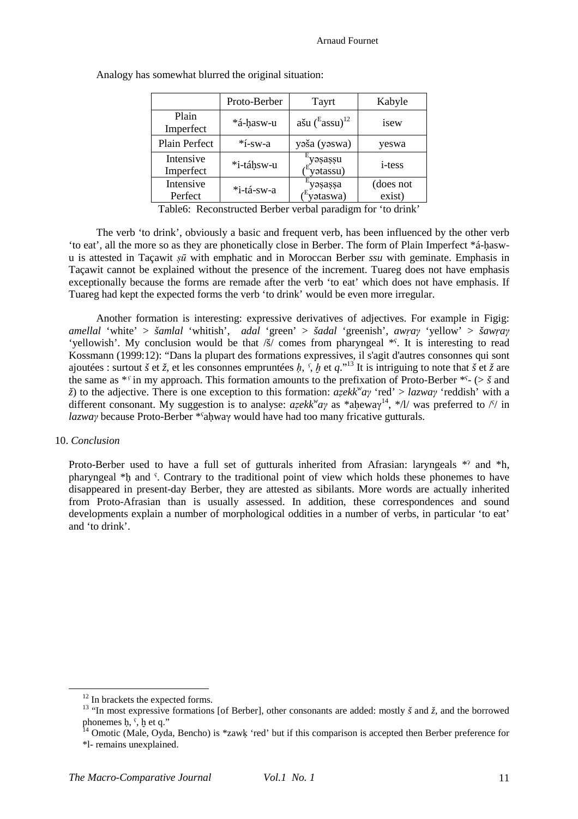|                        | Proto-Berber | Tayrt                            | Kabyle              |
|------------------------|--------------|----------------------------------|---------------------|
| Plain<br>Imperfect     | *á-hasw-u    | ašu $\rm ($ Eassu $\rm )^{12}$   | isew                |
| Plain Perfect          | $*$ í-sw-a   | yaša (yaswa)                     | yeswa               |
| Intensive<br>Imperfect | *i-táhsw-u   | yəsassu<br>yatassu)              | <i>i</i> -tess      |
| Intensive<br>Perfect   | *i-tá-sw-a   | yəsassa<br><sup>E</sup> yətaswa) | (does not<br>exist) |
|                        |              | $\sim$ $\sim$ $\sim$ $\sim$      |                     |

Analogy has somewhat blurred the original situation:

Table6: Reconstructed Berber verbal paradigm for 'to drink'

The verb 'to drink', obviously a basic and frequent verb, has been influenced by the other verb 'to eat', all the more so as they are phonetically close in Berber. The form of Plain Imperfect \*á-ḥaswu is attested in Taçawit *ṣū* with emphatic and in Moroccan Berber *ssu* with geminate. Emphasis in Taçawit cannot be explained without the presence of the increment. Tuareg does not have emphasis exceptionally because the forms are remade after the verb 'to eat' which does not have emphasis. If Tuareg had kept the expected forms the verb 'to drink' would be even more irregular.

Another formation is interesting: expressive derivatives of adjectives. For example in Figig: *amellal* 'white' > *šamlal* 'whitish', *adal* 'green' > *šadal* 'greenish', *awṛaγ* 'yellow' > *šawṛaγ* 'vellowish'. My conclusion would be that  $\overline{\delta}$  comes from pharyngeal \*°. It is interesting to read Kossmann (1999:12): "Dans la plupart des formations expressives, il s'agit d'autres consonnes qui sont ajoutées : surtout *š* et *ž*, et les consonnes empruntées *ḥ*, *ˁ*, *ḫ* et *q*."<sup>13</sup> It is intriguing to note that *š* et *ž* are the same as  $*$ <sup>*s*</sup> in my approach. This formation amounts to the prefixation of Proto-Berber  $*$ <sup>c</sup>- ( $>$  *š* and *ž*) to the adjective. There is one exception to this formation: *aẓekk<sup>w</sup> aγ* 'red' > *lazwaγ* 'reddish' with a different consonant. My suggestion is to analyse: *aẓekk<sup>w</sup> aγ* as \*aḥewaγ <sup>14</sup>, \*/l/ was preferred to /ˁ/ in *lazway* because Proto-Berber \*ˤaḥwaγ would have had too many fricative gutturals.

# 10. *Conclusion*

 $\overline{a}$ 

Proto-Berber used to have a full set of gutturals inherited from Afrasian: laryngeals \*? and \*h, pharyngeal \*ḥ and ˁ. Contrary to the traditional point of view which holds these phonemes to have disappeared in present-day Berber, they are attested as sibilants. More words are actually inherited from Proto-Afrasian than is usually assessed. In addition, these correspondences and sound developments explain a number of morphological oddities in a number of verbs, in particular 'to eat' and 'to drink'.

<sup>&</sup>lt;sup>12</sup> In brackets the expected forms.

<sup>&</sup>lt;sup>13</sup> "In most expressive formations [of Berber], other consonants are added: mostly  $\check{s}$  and  $\check{z}$ , and the borrowed phonemes  $\hat{h}$ ,  $\hat{h}$ ,  $\hat{h}$  et q."

<sup>&</sup>lt;sup>14</sup> Omotic (Male, Oyda, Bencho) is \*zawk 'red' but if this comparison is accepted then Berber preference for \*l- remains unexplained.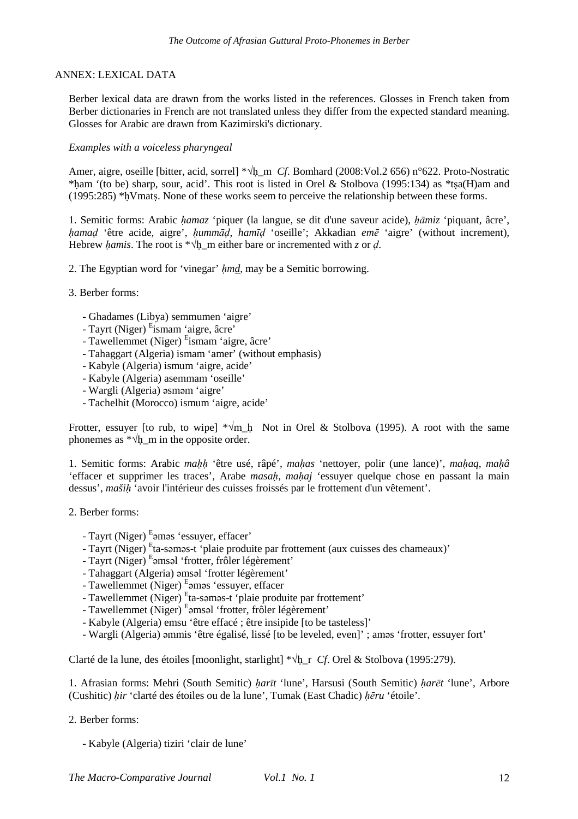## ANNEX: LEXICAL DATA

Berber lexical data are drawn from the works listed in the references. Glosses in French taken from Berber dictionaries in French are not translated unless they differ from the expected standard meaning. Glosses for Arabic are drawn from Kazimirski's dictionary.

# *Examples with a voiceless pharyngeal*

Amer, aigre, oseille [bitter, acid, sorrel] \*√ḥ\_m *Cf*. Bomhard (2008:Vol.2 656) n°622. Proto-Nostratic \*ḥam '(to be) sharp, sour, acid'. This root is listed in Orel & Stolbova (1995:134) as \*tṣa(H)am and (1995:285) \*ḥVmatṣ. None of these works seem to perceive the relationship between these forms.

1. Semitic forms: Arabic *ḥamaz* 'piquer (la langue, se dit d'une saveur acide), *ḥāmiz* 'piquant, âcre', *ḥamaḍ* 'être acide, aigre', *ḥummāḍ*, *hamīḍ* 'oseille'; Akkadian *emē* 'aigre' (without increment), Hebrew *hamis*. The root is  $*\sqrt{h}$  m either bare or incremented with *z* or *d*.

2. The Egyptian word for 'vinegar' *ḥmd*, may be a Semitic borrowing.

- 3. Berber forms:
	- Ghadames (Libya) semmumen 'aigre'
	- Tayrt (Niger) <sup>E</sup>ismam 'aigre, âcre'
	- Tawellemmet (Niger) <sup>E</sup>ismam 'aigre, âcre'
	- Tahaggart (Algeria) ismam 'amer' (without emphasis)
	- Kabyle (Algeria) ismum 'aigre, acide'
	- Kabyle (Algeria) asemmam 'oseille'
	- Wargli (Algeria) əsməm 'aigre'
	- Tachelhit (Morocco) ismum 'aigre, acide'

Frotter, essuyer [to rub, to wipe]  $*\sqrt{m}$  Not in Orel & Stolbova (1995). A root with the same phonemes as  $*\sqrt{h}$  m in the opposite order.

1. Semitic forms: Arabic *maḥḥ* 'être usé, râpé', *maḥas* 'nettoyer, polir (une lance)', *maḥaq*, *maḥâ* 'effacer et supprimer les traces', Arabe *masah*, *mahaj* 'essuyer quelque chose en passant la main dessus', *mašiḥ* 'avoir l'intérieur des cuisses froissés par le frottement d'un vêtement'.

- 2. Berber forms:
	- Tayrt (Niger) Eamas 'essuyer, effacer'
	- Tayrt (Niger) <sup>E</sup>ta-səməs-t 'plaie produite par frottement (aux cuisses des chameaux)'
	- Tayrt (Niger) Eomsal 'frotter, frôler légèrement'
	- Tahaggart (Algeria) əmsəl 'frotter légèrement'
	- Tawellemmet (Niger) <sup>E</sup> əməs 'essuyer, effacer
	- Tawellemmet (Niger) <sup>E</sup>ta-səməs-t 'plaie produite par frottement'
	- Tawellemmet (Niger) E<sub>amsal</sub> 'frotter, frôler légèrement'
	- Kabyle (Algeria) emsu 'être effacé ; être insipide [to be tasteless]'
	- Wargli (Algeria) əmmis 'être égalisé, lissé [to be leveled, even]' ; aməs 'frotter, essuyer fort'

Clarté de la lune, des étoiles [moonlight, starlight] \*√ḥ\_r *Cf*. Orel & Stolbova (1995:279).

1. Afrasian forms: Mehri (South Semitic) *ḥarīt* 'lune', Harsusi (South Semitic) *ḥarēt* 'lune', Arbore (Cushitic) *ḥir* 'clarté des étoiles ou de la lune', Tumak (East Chadic) *ḥēru* 'étoile'.

# 2. Berber forms:

- Kabyle (Algeria) tiziri 'clair de lune'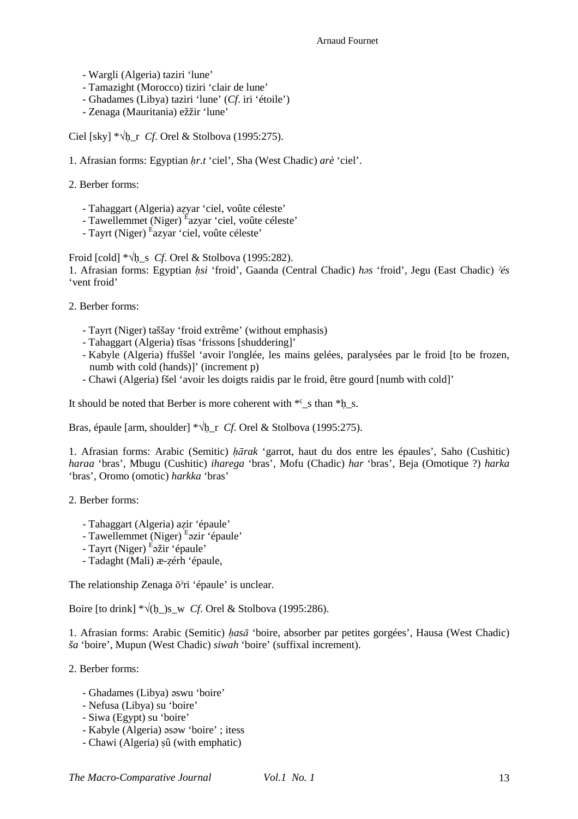#### Arnaud Fournet

- Wargli (Algeria) taziri 'lune'
- Tamazight (Morocco) tiziri 'clair de lune'
- Ghadames (Libya) taziri 'lune' (*Cf*. iri 'étoile')
- Zenaga (Mauritania) ežžir 'lune'

Ciel [sky]  $*\sqrt{h}$  r *Cf*. Orel & Stolbova (1995:275).

- 1. Afrasian forms: Egyptian *ḥr.t* 'ciel', Sha (West Chadic) *arè* 'ciel'.
- 2. Berber forms:
	- Tahaggart (Algeria) aẓyar 'ciel, voûte céleste'
	- Tawellemmet (Niger) <sup>É</sup>azyar 'ciel, voûte céleste'
	- Tayrt (Niger) <sup>E</sup>azyar 'ciel, voûte céleste'

Froid [cold] \*√ḥ\_s *Cf*. Orel & Stolbova (1995:282).

1. Afrasian forms: Egyptian *ḥsi* 'froid', Gaanda (Central Chadic) *həs* 'froid', Jegu (East Chadic) *ˀés* 'vent froid'

- 2. Berber forms:
	- Tayrt (Niger) taššay 'froid extrême' (without emphasis)
	- Tahaggart (Algeria) tīsas 'frissons [shuddering]'
	- Kabyle (Algeria) ffuššel 'avoir l'onglée, les mains gelées, paralysées par le froid [to be frozen, numb with cold (hands)]' (increment p)
	- Chawi (Algeria) fšel 'avoir les doigts raidis par le froid, être gourd [numb with cold]'

It should be noted that Berber is more coherent with  $*$  s than  $*$ h s.

Bras, épaule [arm, shoulder] \*√ḥ\_r *Cf*. Orel & Stolbova (1995:275).

1. Afrasian forms: Arabic (Semitic) *ḥārak* 'garrot, haut du dos entre les épaules', Saho (Cushitic) *haraa* 'bras', Mbugu (Cushitic) *iharega* 'bras', Mofu (Chadic) *har* 'bras', Beja (Omotique ?) *harka* 'bras', Oromo (omotic) *harkka* 'bras'

2. Berber forms:

- Tahaggart (Algeria) aẓir 'épaule'
- Tawellemmet (Niger) <sup>E</sup>azir 'épaule'
- Tayrt (Niger) <sup>E</sup>ažir 'épaule'
- Tadaght (Mali) æ-ẓérh 'épaule,

The relationship Zenaga ōˀri 'épaule' is unclear.

Boire [to drink]  $*\sqrt{(h)}$  is w *Cf*. Orel & Stolbova (1995:286).

1. Afrasian forms: Arabic (Semitic) *ḥasā* 'boire, absorber par petites gorgées', Hausa (West Chadic) *ša* 'boire', Mupun (West Chadic) *siwah* 'boire' (suffixal increment).

2. Berber forms:

- Ghadames (Libya) əswu 'boire'
- Nefusa (Libya) su 'boire'
- Siwa (Egypt) su 'boire'
- Kabyle (Algeria) əsəw 'boire' ; itess
- Chawi (Algeria) ṣû (with emphatic)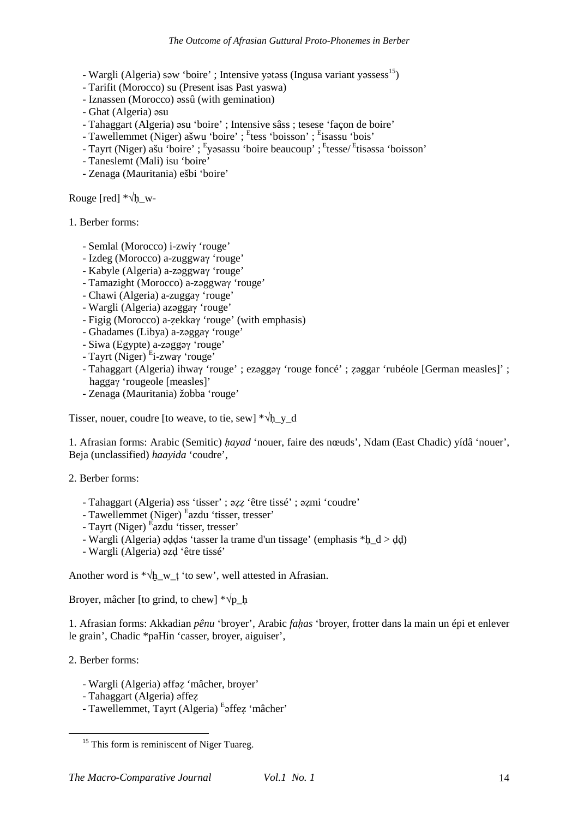- Wargli (Algeria) səw 'boire' ; Intensive yətəss (Ingusa variant yəssess<sup>15</sup>)
- Tarifit (Morocco) su (Present isas Past yaswa)
- Iznassen (Morocco) əssû (with gemination)
- Ghat (Algeria) əsu
- Tahaggart (Algeria) əsu 'boire' ; Intensive sâss ; tesese 'façon de boire'
- Tawellemmet (Niger) ašwu 'boire' ; <sup>E</sup>tess 'boisson' ; <sup>E</sup>isassu 'bois'
- Tayrt (Niger) ašu 'boire' ; <sup>E</sup>yasassu 'boire beaucoup' ; <sup>E</sup>tesse/<sup>E</sup>tisassa 'boisson'
- Taneslemt (Mali) isu 'boire'
- Zenaga (Mauritania) ešbi 'boire'

Rouge [red] \*√ḥ\_w-

1. Berber forms:

- Semlal (Morocco) i-zwiγ 'rouge'
- Izdeg (Morocco) a-zuggwaγ 'rouge'
- Kabyle (Algeria) a-zəggwaγ 'rouge'
- Tamazight (Morocco) a-zəggwaγ 'rouge'
- Chawi (Algeria) a-zuggaγ 'rouge'
- Wargli (Algeria) azəggaγ 'rouge'
- Figig (Morocco) a-ẓekkaγ 'rouge' (with emphasis)
- Ghadames (Libya) a-zəggaγ 'rouge'
- Siwa (Egypte) a-zəggəγ 'rouge'
- Tayrt (Niger) <sup>E</sup> i-zwaγ 'rouge'
- Tahaggart (Algeria) ihwaγ 'rouge' ; ezəggəγ 'rouge foncé' ; ẓəggar 'rubéole [German measles]' ; haggaγ 'rougeole [measles]'
- Zenaga (Mauritania) žobba 'rouge'

Tisser, nouer, coudre [to weave, to tie, sew]  $*\sqrt{h}$  v\_d

1. Afrasian forms: Arabic (Semitic) *ḥayad* 'nouer, faire des nœuds', Ndam (East Chadic) yídâ 'nouer', Beja (unclassified) *haayida* 'coudre',

2. Berber forms:

- Tahaggart (Algeria) əss 'tisser' ; əẓẓ 'être tissé' ; əẓmi 'coudre'
- Tawellemmet (Niger) <sup>E</sup> azdu 'tisser, tresser'
- Tayrt (Niger) <sup>E</sup>azdu 'tisser, tresser'
- Wargli (Algeria) əḍḍəs 'tasser la trame d'un tissage' (emphasis \*ḥ\_d > ḍḍ)
- Wargli (Algeria) əzḍ 'être tissé'

Another word is  $*\sqrt{h}$  w t 'to sew', well attested in Afrasian.

Broyer, mâcher [to grind, to chew]  $*\sqrt{p}$  h

1. Afrasian forms: Akkadian *pênu* 'broyer', Arabic *faḥas* 'broyer, frotter dans la main un épi et enlever le grain', Chadic \*paHin 'casser, broyer, aiguiser',

2. Berber forms:

- Wargli (Algeria) əffəẓ 'mâcher, broyer'
- Tahaggart (Algeria) əffeẓ
- Tawellemmet, Tayrt (Algeria) <sup>E</sup>affez 'mâcher'

<sup>&</sup>lt;sup>15</sup> This form is reminiscent of Niger Tuareg.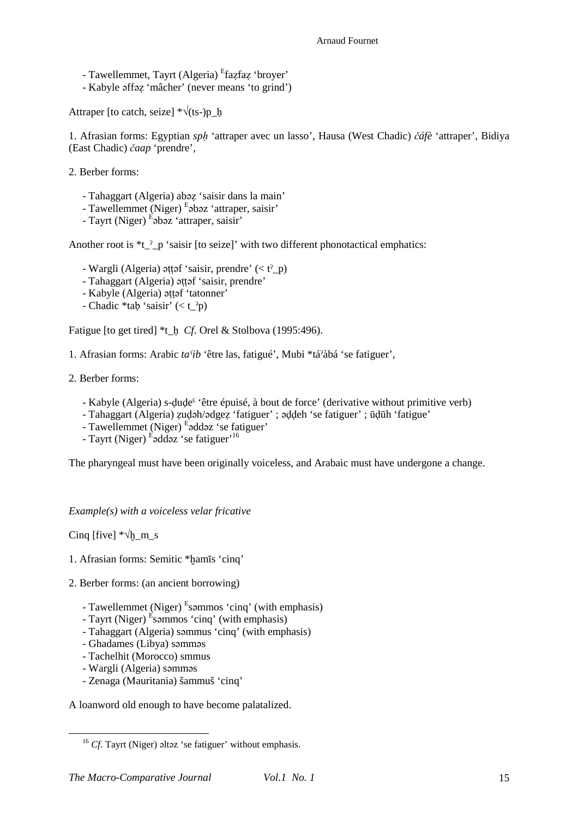- Tawellemmet, Tayrt (Algeria) <sup>E</sup>fazfaz 'broyer'
- Kabyle əffəẓ 'mâcher' (never means 'to grind')

Attraper [to catch, seize]  $*\sqrt{(ts)}$  h

1. Afrasian forms: Egyptian *spḥ* 'attraper avec un lasso', Hausa (West Chadic) *čáfè* 'attraper', Bidiya (East Chadic) *čaap* 'prendre',

2. Berber forms:

- Tahaggart (Algeria) abəẓ 'saisir dans la main'
- Tawellemmet (Niger) E<sub>pb</sub>əz 'attraper, saisir'
- Tayrt (Niger) <sup>E</sup>əbəz 'attraper, saisir'

Another root is  $*_{t_{2}^{n}} p$  'saisir [to seize]' with two different phonotactical emphatics:

- Wargli (Algeria) əttəf 'saisir, prendre'  $(*t*<sup>2</sup>$  p)
- Tahaggart (Algeria) əṭṭəf 'saisir, prendre'
- Kabyle (Algeria) əttəf 'tatonner'
- Chadic \*tab 'saisir'  $( $t_{\perp}^{\gamma}p$ )$

Fatigue [to get tired] \*t\_h *Cf*. Orel & Stolbova (1995:496).

- 1. Afrasian forms: Arabic *taˁib* 'être las, fatigué', Mubi \*táˀàbá 'se fatiguer',
- 2. Berber forms:
	- Kabyle (Algeria) s-ḍuḍeˁ 'être épuisé, à bout de force' (derivative without primitive verb)
	- Tahaggart (Algeria) ẓuḍəh/ədgeẓ 'fatiguer' ; əḍḍeh 'se fatiguer' ; ūḍūh 'fatigue'
	- Tawellemmet (Niger) <sup>E</sup>addaz 'se fatiguer'
	- Tayrt (Niger) <sup>E</sup>addaz 'se fatiguer<sup>, 16</sup>

The pharyngeal must have been originally voiceless, and Arabaic must have undergone a change.

*Example(s) with a voiceless velar fricative* 

Cinq [five]  $*\sqrt{h}$  m s

- 1. Afrasian forms: Semitic \*hamīs 'cinq'
- 2. Berber forms: (an ancient borrowing)
	- Tawellemmet (Niger) <sup>E</sup>sammos 'cinq' (with emphasis)
	- Tayrt (Niger) <sup>E</sup>səmmos 'cinq' (with emphasis)
	- Tahaggart (Algeria) səmmus 'cinq' (with emphasis)
	- Ghadames (Libya) səmməs
	- Tachelhit (Morocco) smmus
	- Wargli (Algeria) səmməs

 $\overline{a}$ 

- Zenaga (Mauritania) šammuš 'cinq'

A loanword old enough to have become palatalized.

<sup>&</sup>lt;sup>16</sup> *Cf*. Tayrt (Niger) əltəz 'se fatiguer' without emphasis.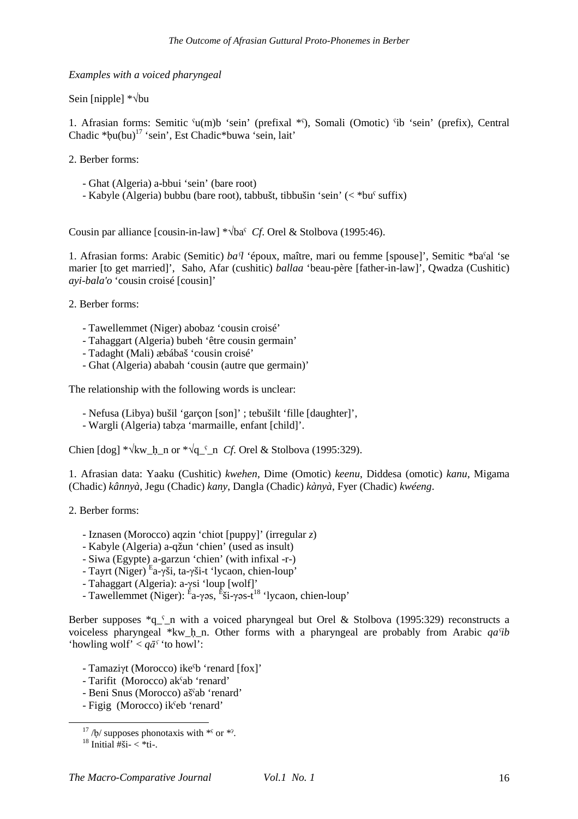*Examples with a voiced pharyngeal* 

Sein [nipple] \*√bu

1. Afrasian forms: Semitic ˁu(m)b 'sein' (prefixal \*ˁ), Somali (Omotic) ˁib 'sein' (prefix), Central Chadic  $*bu(bu)^{17}$  'sein', Est Chadic $*buwa$  'sein, lait'

2. Berber forms:

- Ghat (Algeria) a-bbui 'sein' (bare root)
- Kabyle (Algeria) bubbu (bare root), tabbušt, tibbušin 'sein' (< \*buˁ suffix)

Cousin par alliance [cousin-in-law] \*√baˁ *Cf*. Orel & Stolbova (1995:46).

1. Afrasian forms: Arabic (Semitic) *baˁl* 'époux, maître, mari ou femme [spouse]', Semitic \*baˁal 'se marier [to get married]', Saho, Afar (cushitic) *ballaa* 'beau-père [father-in-law]', Qwadza (Cushitic) *ayi-bala'o* 'cousin croisé [cousin]'

2. Berber forms:

- Tawellemmet (Niger) abobaz 'cousin croisé'
- Tahaggart (Algeria) bubeh 'être cousin germain'
- Tadaght (Mali) æbábaš 'cousin croisé'
- Ghat (Algeria) ababah 'cousin (autre que germain)'

The relationship with the following words is unclear:

- Nefusa (Libya) bušil 'garçon [son]' ; tebušilt 'fille [daughter]',
- Wargli (Algeria) tabẓa 'marmaille, enfant [child]'.

Chien  $[dog] * \sqrt{kw_h}$  n or  $*\sqrt{q}$  n *Cf*. Orel & Stolbova (1995:329).

1. Afrasian data: Yaaku (Cushitic) *kwehen*, Dime (Omotic) *keenu*, Diddesa (omotic) *kanu*, Migama (Chadic) *kânnyà*, Jegu (Chadic) *kany*, Dangla (Chadic) *kànyà*, Fyer (Chadic) *kwéeng*.

2. Berber forms:

- Iznasen (Morocco) aqzin 'chiot [puppy]' (irregular *z*)
- Kabyle (Algeria) a-qžun 'chien' (used as insult)
- Siwa (Egypte) a-garzun 'chien' (with infixal -r-)
- Tayrt (Niger) <sup>E</sup> a-γši, ta-γši-t 'lycaon, chien-loup'
- Tahaggart (Algeria): a-γsi 'loup [wolf]'
- Tawellemmet (Niger): E<sup>a</sup>-γəs, Esi-γəs-t<sup>18</sup> 'lycaon, chien-loup'

Berber supposes  $q_i$  n with a voiced pharyngeal but Orel & Stolbova (1995:329) reconstructs a voiceless pharyngeal \*kw\_ḥ\_n. Other forms with a pharyngeal are probably from Arabic *qaˁib* 'howling wolf' <  $q\bar{a}^{\gamma}$  'to howl':

- Tamaziγt (Morocco) ikeˁb 'renard [fox]'
- Tarifit (Morocco) akˁab 'renard'
- Beni Snus (Morocco) ašˁab 'renard'
- Figig (Morocco) ikˁeb 'renard'

 $17/b$ / supposes phonotaxis with  $*$ <sup>s</sup> or  $*$ ?.

 $18$  Initial  $\#$ ši-  $\lt \{*t$ i-.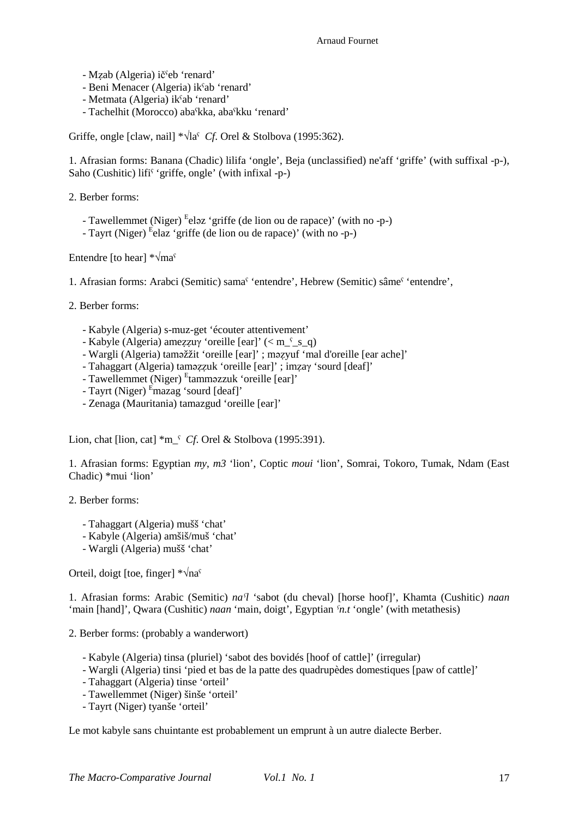- Mẓab (Algeria) ičˁeb 'renard'
- Beni Menacer (Algeria) ikˁab 'renard'
- Metmata (Algeria) ikˁab 'renard'
- Tachelhit (Morocco) abaˁkka, abaˁkku 'renard'

Griffe, ongle [claw, nail] \*√laˁ *Cf*. Orel & Stolbova (1995:362).

1. Afrasian forms: Banana (Chadic) lilifa 'ongle', Beja (unclassified) ne'aff 'griffe' (with suffixal -p-), Saho (Cushitic) lifi<sup>s</sup> 'griffe, ongle' (with infixal -p-)

2. Berber forms:

- Tawellemmet (Niger) <sup>E</sup>eləz 'griffe (de lion ou de rapace)' (with no -p-)
- Tayrt (Niger) <sup>E</sup>elaz 'griffe (de lion ou de rapace)' (with no -p-)

Entendre [to hear]  $*\sqrt{ma}$ <sup>s</sup>

1. Afrasian forms: Arabci (Semitic) samaˁ 'entendre', Hebrew (Semitic) sâmeˁ 'entendre',

2. Berber forms:

- Kabyle (Algeria) s-muz-get 'écouter attentivement'
- Kabyle (Algeria) ameẓẓuγ 'oreille [ear]' (< m\_ˁ\_s\_q)
- Wargli (Algeria) taməžžit 'oreille [ear]' ; məẓyuf 'mal d'oreille [ear ache]'
- Tahaggart (Algeria) taməẓẓuk 'oreille [ear]' ; imẓaγ 'sourd [deaf]'
- Tawellemmet (Niger) Etamməzzuk 'oreille [ear]'
- Tayrt (Niger) <sup>E</sup>mazag 'sourd [deaf]'
- Zenaga (Mauritania) tamazgud 'oreille [ear]'

Lion, chat [lion, cat] \*m\_ˁ *Cf*. Orel & Stolbova (1995:391).

1. Afrasian forms: Egyptian *my*, *m3* 'lion', Coptic *moui* 'lion', Somrai, Tokoro, Tumak, Ndam (East Chadic) \*mui 'lion'

2. Berber forms:

- Tahaggart (Algeria) mušš 'chat'
- Kabyle (Algeria) amšiš/muš 'chat'
- Wargli (Algeria) mušš 'chat'

Orteil, doigt [toe, finger] \*√naˁ

1. Afrasian forms: Arabic (Semitic) *naˁl* 'sabot (du cheval) [horse hoof]', Khamta (Cushitic) *naan* 'main [hand]', Qwara (Cushitic) *naan* 'main, doigt', Egyptian *ˁn.t* 'ongle' (with metathesis)

2. Berber forms: (probably a wanderwort)

- Kabyle (Algeria) tinsa (pluriel) 'sabot des bovidés [hoof of cattle]' (irregular)
- Wargli (Algeria) tinsi 'pied et bas de la patte des quadrupèdes domestiques [paw of cattle]'
- Tahaggart (Algeria) tinse 'orteil'
- Tawellemmet (Niger) šinše 'orteil'
- Tayrt (Niger) tyanše 'orteil'

Le mot kabyle sans chuintante est probablement un emprunt à un autre dialecte Berber.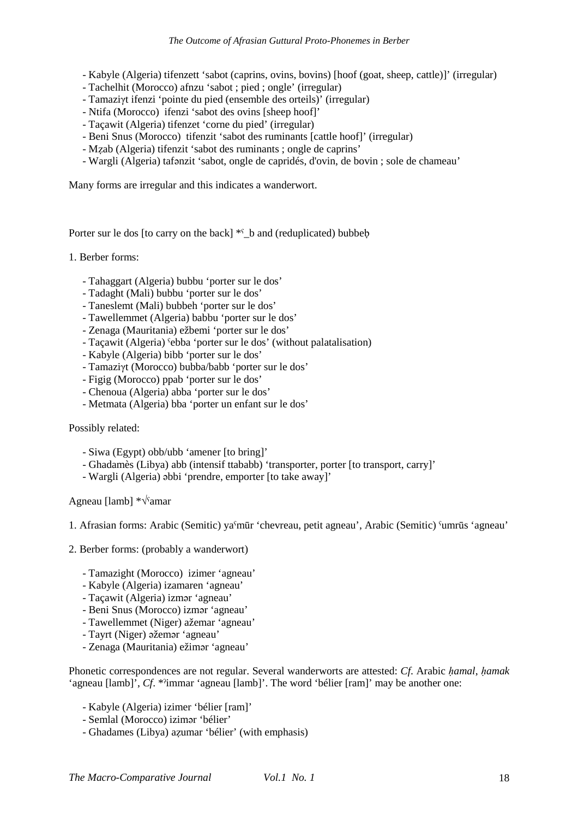- Kabyle (Algeria) tifenzett 'sabot (caprins, ovins, bovins) [hoof (goat, sheep, cattle)]' (irregular)
- Tachelhit (Morocco) afnzu 'sabot ; pied ; ongle' (irregular)
- Tamaziγt ifenzi 'pointe du pied (ensemble des orteils)' (irregular)
- Ntifa (Morocco) ifenzi 'sabot des ovins [sheep hoof]'
- Taçawit (Algeria) tifenzet 'corne du pied' (irregular)
- Beni Snus (Morocco) tifenzit 'sabot des ruminants [cattle hoof]' (irregular)
- Mẓab (Algeria) tifenzit 'sabot des ruminants ; ongle de caprins'
- Wargli (Algeria) tafənzit 'sabot, ongle de capridés, d'ovin, de bovin ; sole de chameau'

Many forms are irregular and this indicates a wanderwort.

Porter sur le dos [to carry on the back]  $*<sup>s</sup>$  b and (reduplicated) bubbeb

## 1. Berber forms:

- Tahaggart (Algeria) bubbu 'porter sur le dos'
- Tadaght (Mali) bubbu 'porter sur le dos'
- Taneslemt (Mali) bubbeh 'porter sur le dos'
- Tawellemmet (Algeria) babbu 'porter sur le dos'
- Zenaga (Mauritania) ežbemi 'porter sur le dos'
- Taçawit (Algeria) ˁebba 'porter sur le dos' (without palatalisation)
- Kabyle (Algeria) bibb 'porter sur le dos'
- Tamaziγt (Morocco) bubba/babb 'porter sur le dos'
- Figig (Morocco) ppab 'porter sur le dos'
- Chenoua (Algeria) abba 'porter sur le dos'
- Metmata (Algeria) bba 'porter un enfant sur le dos'

Possibly related:

- Siwa (Egypt) obb/ubb 'amener [to bring]'
- Ghadamès (Libya) abb (intensif ttababb) 'transporter, porter [to transport, carry]'
- Wargli (Algeria) əbbi 'prendre, emporter [to take away]'

Agneau [lamb] \*√ˁamar

- 1. Afrasian forms: Arabic (Semitic) yaˁmūr 'chevreau, petit agneau', Arabic (Semitic) ˁumrūs 'agneau'
- 2. Berber forms: (probably a wanderwort)
	- Tamazight (Morocco) izimer 'agneau'
	- Kabyle (Algeria) izamaren 'agneau'
	- Taçawit (Algeria) izmər 'agneau'
	- Beni Snus (Morocco) izmər 'agneau'
	- Tawellemmet (Niger) ažemar 'agneau'
	- Tayrt (Niger) əžemər 'agneau'
	- Zenaga (Mauritania) ežimər 'agneau'

Phonetic correspondences are not regular. Several wanderworts are attested: *Cf*. Arabic *ḥamal*, *ḥamak* 'agneau [lamb]', *Cf*. \*ˀimmar 'agneau [lamb]'. The word 'bélier [ram]' may be another one:

- Kabyle (Algeria) izimer 'bélier [ram]'
- Semlal (Morocco) izimər 'bélier'
- Ghadames (Libya) aẓumar 'bélier' (with emphasis)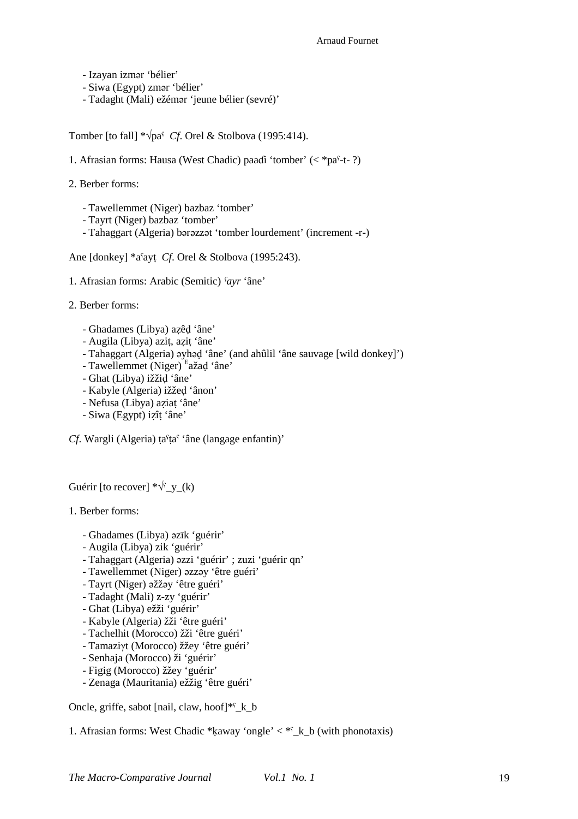- Izayan izmər 'bélier'
- Siwa (Egypt) zmər 'bélier'
- Tadaght (Mali) ežémər 'jeune bélier (sevré)'

Tomber [to fall] \*√paˁ *Cf*. Orel & Stolbova (1995:414).

1. Afrasian forms: Hausa (West Chadic) paaɗi 'tomber' (< \*paˁ-t- ?)

- 2. Berber forms:
	- Tawellemmet (Niger) bazbaz 'tomber'
	- Tayrt (Niger) bazbaz 'tomber'
	- Tahaggart (Algeria) bərəzzət 'tomber lourdement' (increment -r-)

Ane [donkey] \*aˁayṭ *Cf*. Orel & Stolbova (1995:243).

- 1. Afrasian forms: Arabic (Semitic) *ˁayr* 'âne'
- 2. Berber forms:
	- Ghadames (Libya) aẓêḍ 'âne'
	- Augila (Libya) aziṭ, aẓiṭ 'âne'
	- Tahaggart (Algeria) əyhəḍ 'âne' (and ahûlil 'âne sauvage [wild donkey]')
	- Tawellemmet (Niger) <sup>E</sup>ažad 'âne'
	- Ghat (Libya) ižžiḍ 'âne'
	- Kabyle (Algeria) ižžeḍ 'ânon'
	- Nefusa (Libya) aẓiaṭ 'âne'
	- Siwa (Egypt) iẓîṭ 'âne'

*Cf*. Wargli (Algeria) ța<sup>c</sup>ța<sup>c</sup> 'âne (langage enfantin)'

Guérir [to recover]  $*\sqrt{y_y(k)}$ 

1. Berber forms:

- Ghadames (Libya) əzīk 'guérir'
- Augila (Libya) zik 'guérir'
- Tahaggart (Algeria) əzzi 'guérir' ; zuzi 'guérir qn'
- Tawellemmet (Niger) əzzəy 'être guéri'
- Tayrt (Niger) əžžəy 'être guéri'
- Tadaght (Mali) z-zy 'guérir'
- Ghat (Libya) ežži 'guérir'
- Kabyle (Algeria) žži 'être guéri'
- Tachelhit (Morocco) žži 'être guéri'
- Tamaziγt (Morocco) žžey 'être guéri'
- Senhaja (Morocco) ži 'guérir'
- Figig (Morocco) žžey 'guérir'
- Zenaga (Mauritania) ežžig 'être guéri'

Oncle, griffe, sabot [nail, claw, hoof]\*<sup>c</sup>\_k\_b

1. Afrasian forms: West Chadic \*kaway 'ongle'  $\lt^*$  k b (with phonotaxis)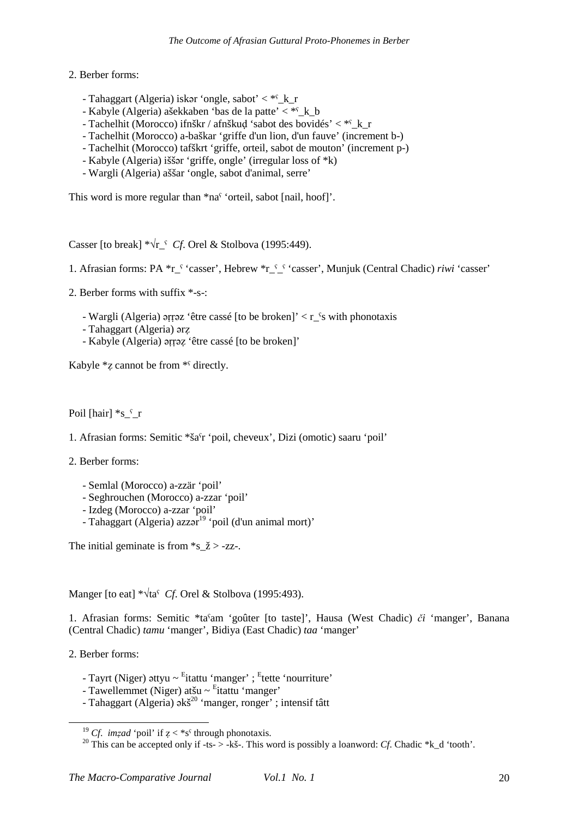# 2. Berber forms:

- Tahaggart (Algeria) iskər 'ongle, sabot' < \*ˁ\_k\_r
- Kabyle (Algeria) ašekkaben 'bas de la patte'  $\lt^*$ k b
- Tachelhit (Morocco) ifnškr / afnškud 'sabot des bovidés'  $\lt^*$ k\_r
- Tachelhit (Morocco) a-baškar 'griffe d'un lion, d'un fauve' (increment b-)
- Tachelhit (Morocco) tafškrt 'griffe, orteil, sabot de mouton' (increment p-)
- Kabyle (Algeria) iššər 'griffe, ongle' (irregular loss of \*k)
- Wargli (Algeria) aššar 'ongle, sabot d'animal, serre'

This word is more regular than \*na<sup>§</sup> 'orteil, sabot [nail, hoof]'.

Casser [to break] \*√r\_ˁ *Cf*. Orel & Stolbova (1995:449).

1. Afrasian forms: PA \*r<sup>{</sup> 'casser', Hebrew \*r<sup>{ {'}</sup> 'casser', Munjuk (Central Chadic) *riwi* 'casser'

2. Berber forms with suffix \*-s-:

- Wargli (Algeria) ərrəz 'être cassé [to be broken]'  $\lt r$  <sup>s</sup>s with phonotaxis
- Tahaggart (Algeria) ərẓ
- Kabyle (Algeria) əṛṛəẓ 'être cassé [to be broken]'

Kabyle  $*z$  cannot be from  $*$ <sup> $\epsilon$ </sup> directly.

Poil [hair]  $*_{S}$   $\zeta$  r

1. Afrasian forms: Semitic \*šaˁr 'poil, cheveux', Dizi (omotic) saaru 'poil'

2. Berber forms:

- Semlal (Morocco) a-zzär 'poil'
- Seghrouchen (Morocco) a-zzar 'poil'
- Izdeg (Morocco) a-zzar 'poil'
- Tahaggart (Algeria) azzər<sup>19</sup> 'poil (d'un animal mort)'

The initial geminate is from  $s_2 \gtrsim -zz$ .

Manger [to eat] \*√taˁ *Cf*. Orel & Stolbova (1995:493).

1. Afrasian forms: Semitic \*taˁam 'goûter [to taste]', Hausa (West Chadic) *či* 'manger', Banana (Central Chadic) *tamu* 'manger', Bidiya (East Chadic) *taa* 'manger'

2. Berber forms:

- Tayrt (Niger) əttyu ~ <sup>E</sup>itattu 'manger' ; <sup>E</sup>tette 'nourriture'
- Tawellemmet (Niger) atšu ~ <sup>E</sup>itattu 'manger'
- Tahaggart (Algeria) əkš<sup>20</sup> 'manger, ronger' ; intensif tâtt

<sup>&</sup>lt;sup>19</sup> *Cf. imzad* 'poil' if  $z <$  \*s<sup>*s*</sup></sup> through phonotaxis.

<sup>&</sup>lt;sup>20</sup> This can be accepted only if -ts- > -kš-. This word is possibly a loanword: *Cf*. Chadic \*k\_d 'tooth'.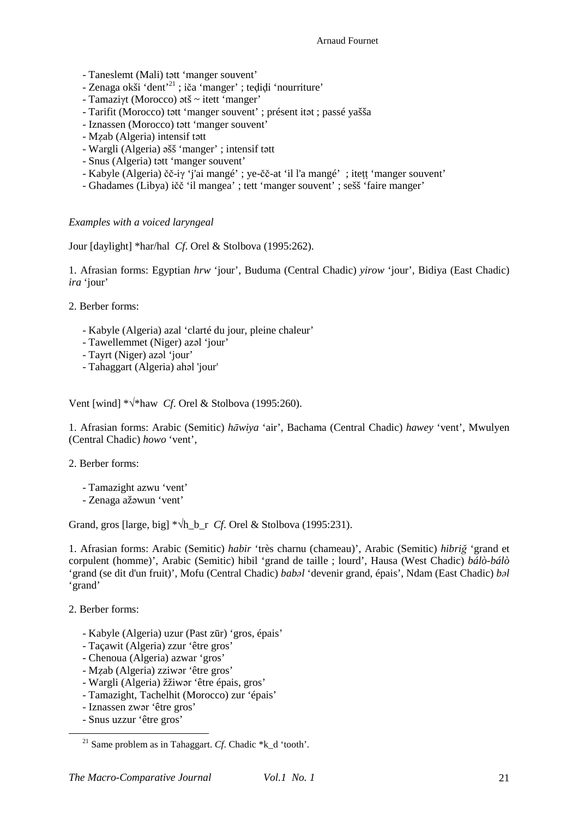- Taneslemt (Mali) tətt 'manger souvent'
- Zenaga okši 'dent'<sup>21</sup> ; iča 'manger' ; teḍiḍi 'nourriture'
- Tamaziγt (Morocco) ətš ~ itett 'manger'
- Tarifit (Morocco) tətt 'manger souvent' ; présent itət ; passé yašša
- Iznassen (Morocco) tətt 'manger souvent'
- Mẓab (Algeria) intensif tətt
- Wargli (Algeria) əšš 'manger' ; intensif tətt
- Snus (Algeria) tətt 'manger souvent'
- Kabyle (Algeria) čč-iγ 'j'ai mangé' ; ye-čč-at 'il l'a mangé' ; iteṭṭ 'manger souvent'
- Ghadames (Libya) ičč 'il mangea' ; tett 'manger souvent' ; sešš 'faire manger'

# *Examples with a voiced laryngeal*

Jour [daylight] \*har/hal *Cf*. Orel & Stolbova (1995:262).

1. Afrasian forms: Egyptian *hrw* 'jour', Buduma (Central Chadic) *yirow* 'jour', Bidiya (East Chadic) *ira* 'jour'

2. Berber forms:

- Kabyle (Algeria) azal 'clarté du jour, pleine chaleur'
- Tawellemmet (Niger) azəl 'jour'
- Tayrt (Niger) azəl 'jour'
- Tahaggart (Algeria) ahəl 'jour'

Vent [wind] \*√\*haw *Cf*. Orel & Stolbova (1995:260).

1. Afrasian forms: Arabic (Semitic) *hāwiya* 'air', Bachama (Central Chadic) *hawey* 'vent', Mwulyen (Central Chadic) *howo* 'vent',

2. Berber forms:

- Tamazight azwu 'vent'

- Zenaga ažəwun 'vent'

Grand, gros [large, big] \*√h\_b\_r *Cf*. Orel & Stolbova (1995:231).

1. Afrasian forms: Arabic (Semitic) *habir* 'très charnu (chameau)', Arabic (Semitic) *hibriğ* 'grand et corpulent (homme)', Arabic (Semitic) hibil 'grand de taille ; lourd', Hausa (West Chadic) *bálò-bálò* 'grand (se dit d'un fruit)', Mofu (Central Chadic) *babəl* 'devenir grand, épais', Ndam (East Chadic) *bəl* 'grand'

2. Berber forms:

- Kabyle (Algeria) uzur (Past zūr) 'gros, épais'
- Taçawit (Algeria) zzur 'être gros'
- Chenoua (Algeria) azwar 'gros'
- Mẓab (Algeria) zziwər 'être gros'
- Wargli (Algeria) žžiwər 'être épais, gros'
- Tamazight, Tachelhit (Morocco) zur 'épais'
- Iznassen zwər 'être gros'
- Snus uzzur 'être gros'

<sup>&</sup>lt;sup>21</sup> Same problem as in Tahaggart. *Cf.* Chadic  $*k$  d 'tooth'.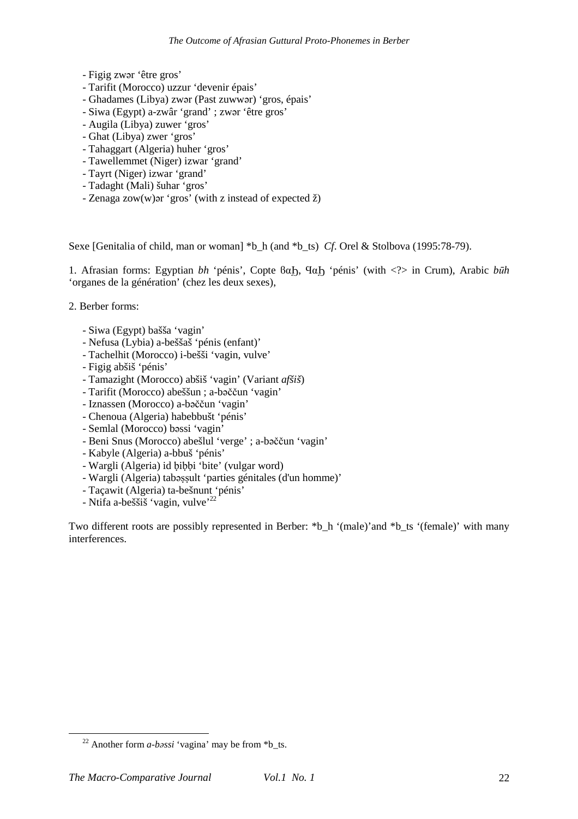- Figig zwər 'être gros'
- Tarifit (Morocco) uzzur 'devenir épais'
- Ghadames (Libya) zwər (Past zuwwər) 'gros, épais'
- Siwa (Egypt) a-zwâr 'grand' ; zwər 'être gros'
- Augila (Libya) zuwer 'gros'
- Ghat (Libya) zwer 'gros'
- Tahaggart (Algeria) huher 'gros'
- Tawellemmet (Niger) izwar 'grand'
- Tayrt (Niger) izwar 'grand'
- Tadaght (Mali) šuhar 'gros'
- Zenaga zow(w)ər 'gros' (with z instead of expected ž)

Sexe [Genitalia of child, man or woman] \*b\_h (and \*b\_ts) *Cf*. Orel & Stolbova (1995:78-79).

1. Afrasian forms: Egyptian *bh* 'pénis', Copte ϐαϦ, ϤαϦ 'pénis' (with <?> in Crum), Arabic *būh* 'organes de la génération' (chez les deux sexes),

2. Berber forms:

- Siwa (Egypt) bašša 'vagin'
- Nefusa (Lybia) a-beššaš 'pénis (enfant)'
- Tachelhit (Morocco) i-bešši 'vagin, vulve'
- Figig abšiš 'pénis'
- Tamazight (Morocco) abšiš 'vagin' (Variant *afšiš*)
- Tarifit (Morocco) abeššun ; a-bəččun 'vagin'
- Iznassen (Morocco) a-bəččun 'vagin'
- Chenoua (Algeria) habebbušt 'pénis'
- Semlal (Morocco) bəssi 'vagin'
- Beni Snus (Morocco) abešlul 'verge' ; a-bəččun 'vagin'
- Kabyle (Algeria) a-bbuš 'pénis'
- Wargli (Algeria) id bibbi 'bite' (vulgar word)
- Wargli (Algeria) tabəssult 'parties génitales (d'un homme)'
- Taçawit (Algeria) ta-bešnunt 'pénis'
- Ntifa a-beššiš 'vagin, vulve'<sup>22</sup>

Two different roots are possibly represented in Berber: \*b\_h '(male)' and \*b\_ts '(female)' with many interferences.

<sup>&</sup>lt;sup>22</sup> Another form  $a$ -bəssi 'vagina' may be from  $*$ b ts.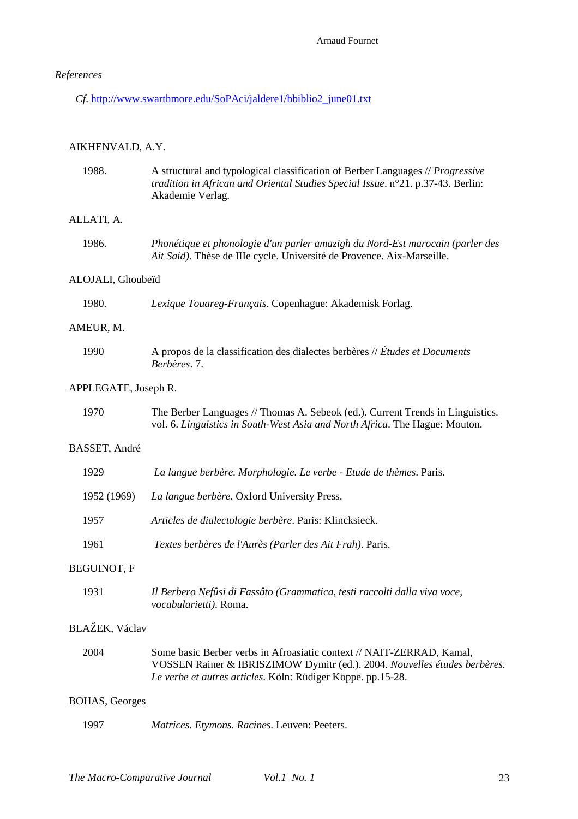# *References*

*Cf*. http://www.swarthmore.edu/SoPAci/jaldere1/bbiblio2\_june01.txt

# AIKHENVALD, A.Y.

| 1988.                 | A structural and typological classification of Berber Languages // Progressive<br>tradition in African and Oriental Studies Special Issue. n°21. p.37-43. Berlin:<br>Akademie Verlag.                             |  |  |  |  |  |
|-----------------------|-------------------------------------------------------------------------------------------------------------------------------------------------------------------------------------------------------------------|--|--|--|--|--|
| ALLATI, A.            |                                                                                                                                                                                                                   |  |  |  |  |  |
| 1986.                 | Phonétique et phonologie d'un parler amazigh du Nord-Est marocain (parler des<br>Ait Said). Thèse de IIIe cycle. Université de Provence. Aix-Marseille.                                                           |  |  |  |  |  |
| ALOJALI, Ghoubeïd     |                                                                                                                                                                                                                   |  |  |  |  |  |
| 1980.                 | Lexique Touareg-Français. Copenhague: Akademisk Forlag.                                                                                                                                                           |  |  |  |  |  |
| AMEUR, M.             |                                                                                                                                                                                                                   |  |  |  |  |  |
| 1990                  | A propos de la classification des dialectes berbères // Études et Documents<br>Berbères. 7.                                                                                                                       |  |  |  |  |  |
| APPLEGATE, Joseph R.  |                                                                                                                                                                                                                   |  |  |  |  |  |
| 1970                  | The Berber Languages // Thomas A. Sebeok (ed.). Current Trends in Linguistics.<br>vol. 6. Linguistics in South-West Asia and North Africa. The Hague: Mouton.                                                     |  |  |  |  |  |
| BASSET, André         |                                                                                                                                                                                                                   |  |  |  |  |  |
| 1929                  | La langue berbère. Morphologie. Le verbe - Etude de thèmes. Paris.                                                                                                                                                |  |  |  |  |  |
| 1952 (1969)           | La langue berbère. Oxford University Press.                                                                                                                                                                       |  |  |  |  |  |
| 1957                  | Articles de dialectologie berbère. Paris: Klincksieck.                                                                                                                                                            |  |  |  |  |  |
| 1961                  | Textes berbères de l'Aurès (Parler des Ait Frah). Paris.                                                                                                                                                          |  |  |  |  |  |
| <b>BEGUINOT, F</b>    |                                                                                                                                                                                                                   |  |  |  |  |  |
| 1931                  | Il Berbero Nefûsi di Fassâto (Grammatica, testi raccolti dalla viva voce,<br>vocabularietti). Roma.                                                                                                               |  |  |  |  |  |
| BLAŽEK, Václav        |                                                                                                                                                                                                                   |  |  |  |  |  |
| 2004                  | Some basic Berber verbs in Afroasiatic context // NAIT-ZERRAD, Kamal,<br>VOSSEN Rainer & IBRISZIMOW Dymitr (ed.). 2004. Nouvelles études berbères.<br>Le verbe et autres articles. Köln: Rüdiger Köppe. pp.15-28. |  |  |  |  |  |
| <b>BOHAS, Georges</b> |                                                                                                                                                                                                                   |  |  |  |  |  |
| 1997                  | Matrices. Etymons. Racines. Leuven: Peeters.                                                                                                                                                                      |  |  |  |  |  |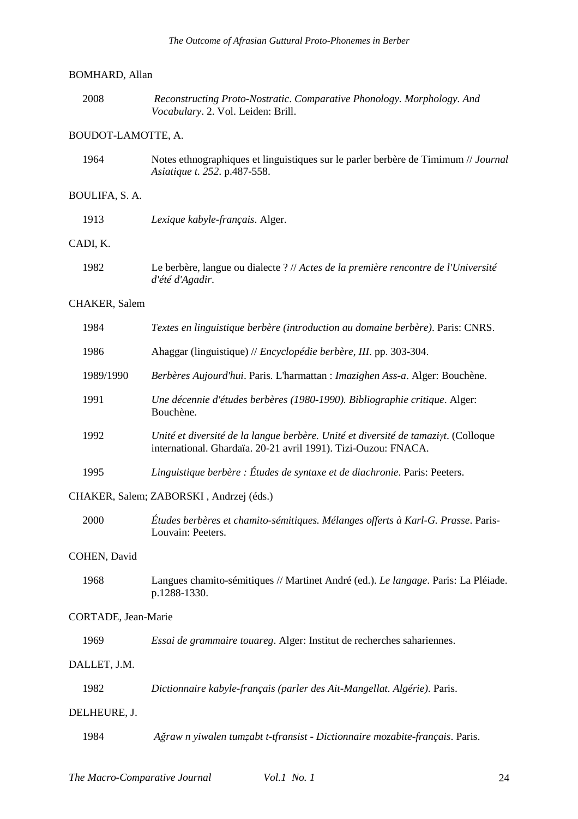# BOMHARD, Allan

| 2008 | Reconstructing Proto-Nostratic. Comparative Phonology. Morphology. And |
|------|------------------------------------------------------------------------|
|      | <i>Vocabulary.</i> 2. Vol. Leiden: Brill.                              |

# BOUDOT-LAMOTTE, A.

| 1964 | Notes ethnographiques et linguistiques sur le parler berbère de Timimum // Journal |
|------|------------------------------------------------------------------------------------|
|      | <i>Asiatique t. 252. p.487-558.</i>                                                |

# BOULIFA, S. A.

| 1913     | Lexique kabyle-français. Alger.                                                                       |
|----------|-------------------------------------------------------------------------------------------------------|
| CADI. K. |                                                                                                       |
| 1982     | Le berbère, langue ou dialecte ? // Actes de la première rencontre de l'Université<br>d'été d'Agadir. |

## CHAKER, Salem

| 1984                | Textes en linguistique berbère (introduction au domaine berbère). Paris: CNRS.                                                                       |  |  |  |  |  |
|---------------------|------------------------------------------------------------------------------------------------------------------------------------------------------|--|--|--|--|--|
| 1986                | Ahaggar (linguistique) // Encyclopédie berbère, III. pp. 303-304.                                                                                    |  |  |  |  |  |
| 1989/1990           | Berbères Aujourd'hui. Paris. L'harmattan : Imazighen Ass-a. Alger: Bouchène.                                                                         |  |  |  |  |  |
| 1991                | Une décennie d'études berbères (1980-1990). Bibliographie critique. Alger:<br>Bouchène.                                                              |  |  |  |  |  |
| 1992                | Unité et diversité de la langue berbère. Unité et diversité de tamaziyt. (Colloque<br>international. Ghardaïa. 20-21 avril 1991). Tizi-Ouzou: FNACA. |  |  |  |  |  |
| 1995                | Linguistique berbère : Études de syntaxe et de diachronie. Paris: Peeters.                                                                           |  |  |  |  |  |
|                     | CHAKER, Salem; ZABORSKI, Andrzej (éds.)                                                                                                              |  |  |  |  |  |
| 2000                | Études berbères et chamito-sémitiques. Mélanges offerts à Karl-G. Prasse. Paris-<br>Louvain: Peeters.                                                |  |  |  |  |  |
| COHEN, David        |                                                                                                                                                      |  |  |  |  |  |
| 1968                | Langues chamito-sémitiques // Martinet André (ed.). Le langage. Paris: La Pléiade.<br>p.1288-1330.                                                   |  |  |  |  |  |
| CORTADE, Jean-Marie |                                                                                                                                                      |  |  |  |  |  |

# C<sub>O</sub>

| 1969 |  | Essai de grammaire touareg. Alger: Institut de recherches sahariennes. |
|------|--|------------------------------------------------------------------------|
|------|--|------------------------------------------------------------------------|

# DALLET, J.M.

| 1982 |  | Dictionnaire kabyle-français (parler des Ait-Mangellat. Algérie). Paris. |
|------|--|--------------------------------------------------------------------------|
|------|--|--------------------------------------------------------------------------|

## DELHEURE, J.

1984 *Ağraw n yiwalen tumẓabt t-tfransist - Dictionnaire mozabite-français*. Paris.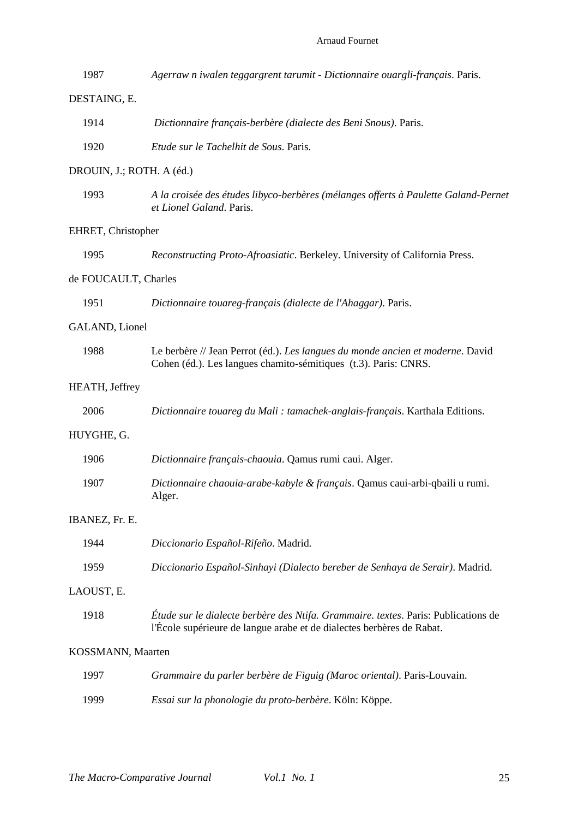# Arnaud Fournet

| 1987                      | Agerraw n iwalen teggargrent tarumit - Dictionnaire ouargli-français. Paris.                                                                                |  |  |  |  |  |
|---------------------------|-------------------------------------------------------------------------------------------------------------------------------------------------------------|--|--|--|--|--|
| DESTAING, E.              |                                                                                                                                                             |  |  |  |  |  |
| 1914                      | Dictionnaire français-berbère (dialecte des Beni Snous). Paris.                                                                                             |  |  |  |  |  |
| 1920                      | Etude sur le Tachelhit de Sous. Paris.                                                                                                                      |  |  |  |  |  |
| DROUIN, J.; ROTH. A (éd.) |                                                                                                                                                             |  |  |  |  |  |
| 1993                      | A la croisée des études libyco-berbères (mélanges offerts à Paulette Galand-Pernet<br>et Lionel Galand. Paris.                                              |  |  |  |  |  |
| EHRET, Christopher        |                                                                                                                                                             |  |  |  |  |  |
| 1995                      | Reconstructing Proto-Afroasiatic. Berkeley. University of California Press.                                                                                 |  |  |  |  |  |
| de FOUCAULT, Charles      |                                                                                                                                                             |  |  |  |  |  |
| 1951                      | Dictionnaire touareg-français (dialecte de l'Ahaggar). Paris.                                                                                               |  |  |  |  |  |
| GALAND, Lionel            |                                                                                                                                                             |  |  |  |  |  |
| 1988                      | Le berbère // Jean Perrot (éd.). Les langues du monde ancien et moderne. David<br>Cohen (éd.). Les langues chamito-sémitiques (t.3). Paris: CNRS.           |  |  |  |  |  |
| HEATH, Jeffrey            |                                                                                                                                                             |  |  |  |  |  |
| 2006                      | Dictionnaire touareg du Mali : tamachek-anglais-français. Karthala Editions.                                                                                |  |  |  |  |  |
| HUYGHE, G.                |                                                                                                                                                             |  |  |  |  |  |
| 1906                      | Dictionnaire français-chaouia. Qamus rumi caui. Alger.                                                                                                      |  |  |  |  |  |
| 1907                      | Dictionnaire chaouia-arabe-kabyle & français. Qamus caui-arbi-qbaili u rumi.<br>Alger.                                                                      |  |  |  |  |  |
| IBANEZ, Fr. E.            |                                                                                                                                                             |  |  |  |  |  |
| 1944                      | Diccionario Español-Rifeño. Madrid.                                                                                                                         |  |  |  |  |  |
| 1959                      | Diccionario Español-Sinhayi (Dialecto bereber de Senhaya de Serair). Madrid.                                                                                |  |  |  |  |  |
| LAOUST, E.                |                                                                                                                                                             |  |  |  |  |  |
| 1918                      | Étude sur le dialecte berbère des Ntifa. Grammaire. textes. Paris: Publications de<br>l'École supérieure de langue arabe et de dialectes berbères de Rabat. |  |  |  |  |  |
| KOSSMANN, Maarten         |                                                                                                                                                             |  |  |  |  |  |
| 1997                      | Grammaire du parler berbère de Figuig (Maroc oriental). Paris-Louvain.                                                                                      |  |  |  |  |  |
| 1999                      | Essai sur la phonologie du proto-berbère. Köln: Köppe.                                                                                                      |  |  |  |  |  |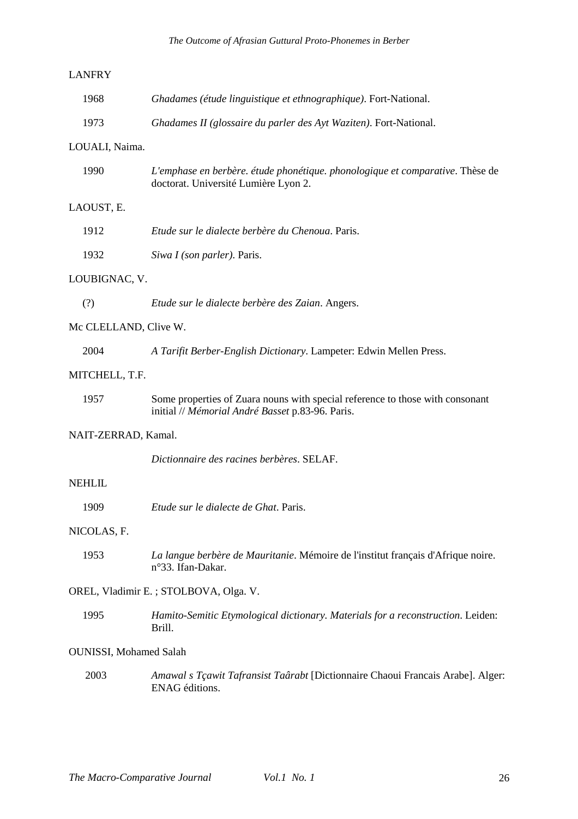# LANFRY

| 1968 | Ghadames (étude linguistique et ethnographique). Fort-National.   |
|------|-------------------------------------------------------------------|
| 1973 | Ghadames II (glossaire du parler des Ayt Waziten). Fort-National. |

## LOUALI, Naima.

| 1990 | L'emphase en berbère. étude phonétique. phonologique et comparative. Thèse de |
|------|-------------------------------------------------------------------------------|
|      | doctorat. Université Lumière Lyon 2.                                          |

# LAOUST, E.

| 1912 | Etude sur le dialecte berbère du Chenoua. Paris. |  |  |  |
|------|--------------------------------------------------|--|--|--|
|      |                                                  |  |  |  |

1932 *Siwa I (son parler)*. Paris.

#### LOUBIGNAC, V.

(?) *Etude sur le dialecte berbère des Zaian*. Angers.

# Mc CLELLAND, Clive W.

| 2004 | A Tarifit Berber-English Dictionary. Lampeter: Edwin Mellen Press. |
|------|--------------------------------------------------------------------|
|------|--------------------------------------------------------------------|

# MITCHELL, T.F.

| 1957 | Some properties of Zuara nouns with special reference to those with consonant |
|------|-------------------------------------------------------------------------------|
|      | initial // Mémorial André Basset p.83-96. Paris.                              |

# NAIT-ZERRAD, Kamal.

*Dictionnaire des racines berbères*. SELAF.

## NEHLIL

1909 *Etude sur le dialecte de Ghat*. Paris.

# NICOLAS, F.

1953 *La langue berbère de Mauritanie*. Mémoire de l'institut français d'Afrique noire. n°33. Ifan-Dakar.

## OREL, Vladimir E. ; STOLBOVA, Olga. V.

1995 *Hamito-Semitic Etymological dictionary. Materials for a reconstruction*. Leiden: Brill.

#### OUNISSI, Mohamed Salah

 2003 *Amawal s Tçawit Tafransist Taârabt* [Dictionnaire Chaoui Francais Arabe]. Alger: ENAG éditions.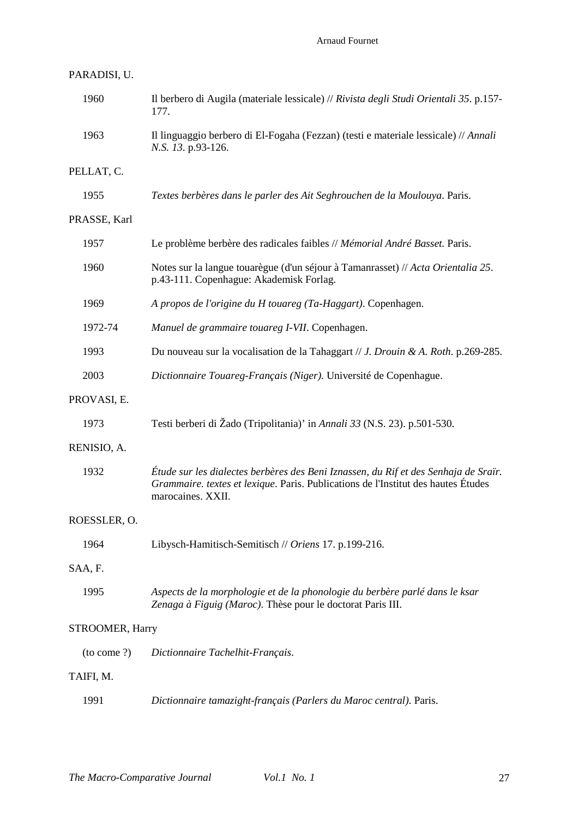# Arnaud Fournet

| PARADISI, U.    |                                                                                                                                                                                               |
|-----------------|-----------------------------------------------------------------------------------------------------------------------------------------------------------------------------------------------|
| 1960            | Il berbero di Augila (materiale lessicale) // Rivista degli Studi Orientali 35. p.157-<br>177.                                                                                                |
| 1963            | Il linguaggio berbero di El-Fogaha (Fezzan) (testi e materiale lessicale) // Annali<br>N.S. 13. p.93-126.                                                                                     |
| PELLAT, C.      |                                                                                                                                                                                               |
| 1955            | Textes berbères dans le parler des Ait Seghrouchen de la Moulouya. Paris.                                                                                                                     |
| PRASSE, Karl    |                                                                                                                                                                                               |
| 1957            | Le problème berbère des radicales faibles // Mémorial André Basset. Paris.                                                                                                                    |
| 1960            | Notes sur la langue touarègue (d'un séjour à Tamanrasset) // Acta Orientalia 25.<br>p.43-111. Copenhague: Akademisk Forlag.                                                                   |
| 1969            | A propos de l'origine du H touareg (Ta-Haggart). Copenhagen.                                                                                                                                  |
| 1972-74         | Manuel de grammaire touareg I-VII. Copenhagen.                                                                                                                                                |
| 1993            | Du nouveau sur la vocalisation de la Tahaggart // J. Drouin & A. Roth. p.269-285.                                                                                                             |
| 2003            | Dictionnaire Touareg-Français (Niger). Université de Copenhague.                                                                                                                              |
| PROVASI, E.     |                                                                                                                                                                                               |
| 1973            | Testi berberi di Žado (Tripolitania)' in Annali 33 (N.S. 23). p.501-530.                                                                                                                      |
| RENISIO, A.     |                                                                                                                                                                                               |
| 1932            | Étude sur les dialectes berbères des Beni Iznassen, du Rif et des Senhaja de Sraïr.<br>Grammaire. textes et lexique. Paris. Publications de l'Institut des hautes Études<br>marocaines. XXII. |
| ROESSLER, O.    |                                                                                                                                                                                               |
| 1964            | Libysch-Hamitisch-Semitisch // Oriens 17. p.199-216.                                                                                                                                          |
| SAA, F.         |                                                                                                                                                                                               |
| 1995            | Aspects de la morphologie et de la phonologie du berbère parlé dans le ksar<br>Zenaga à Figuig (Maroc). Thèse pour le doctorat Paris III.                                                     |
| STROOMER, Harry |                                                                                                                                                                                               |
| (to come?)      | Dictionnaire Tachelhit-Français.                                                                                                                                                              |
| TAIFI, M.       |                                                                                                                                                                                               |
| 1991            | Dictionnaire tamazight-français (Parlers du Maroc central). Paris.                                                                                                                            |